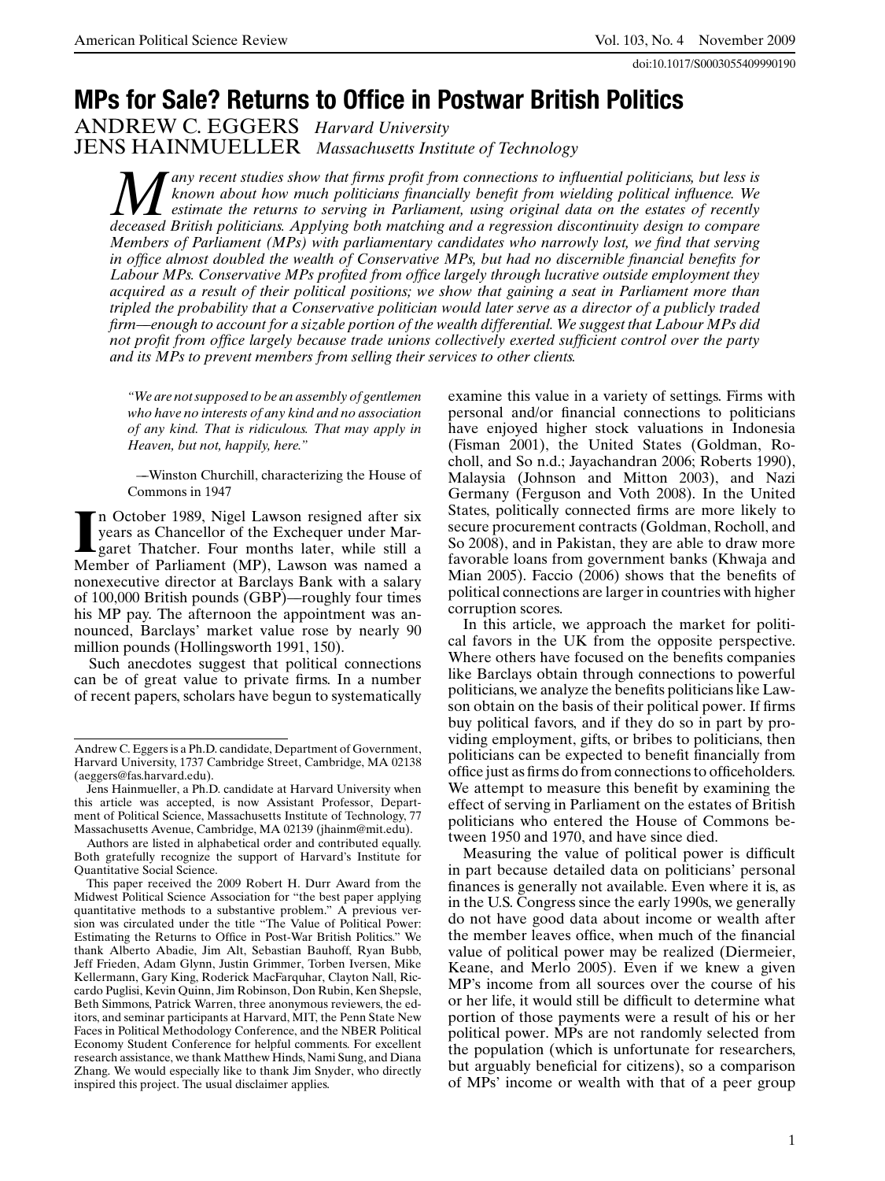doi:10.1017/S0003055409990190

# **MPs for Sale? Returns to Office in Postwar British Politics**

ANDREW C. EGGERS *Harvard University* JENS HAINMUELLER *Massachusetts Institute of Technology*

*Many recent studies show that firms profit from connections to influential politicians, but less is known about how much politicians financially benefit from wielding political influence. We estimate the returns to serv known about how much politicians financially benefit from wielding political influence. We estimate the returns to serving in Parliament, using original data on the estates of recently deceased British politicians. Applying both matching and a regression discontinuity design to compare Members of Parliament (MPs) with parliamentary candidates who narrowly lost, we find that serving in office almost doubled the wealth of Conservative MPs, but had no discernible financial benefits for Labour MPs. Conservative MPs profited from office largely through lucrative outside employment they acquired as a result of their political positions; we show that gaining a seat in Parliament more than tripled the probability that a Conservative politician would later serve as a director of a publicly traded firm—–enough to account for a sizable portion of the wealth differential. We suggest that Labour MPs did not profit from office largely because trade unions collectively exerted sufficient control over the party and its MPs to prevent members from selling their services to other clients.*

*"We are not supposed to be an assembly of gentlemen who have no interests of any kind and no association of any kind. That is ridiculous. That may apply in Heaven, but not, happily, here."*

—–Winston Churchill, characterizing the House of Commons in 1947

In October 1989, Nigel Lawson resigned after six<br>years as Chancellor of the Exchequer under Mar-<br>garet Thatcher. Four months later, while still a<br>Member of Parliament (MP), Lawson was named a n October 1989, Nigel Lawson resigned after six years as Chancellor of the Exchequer under Margaret Thatcher. Four months later, while still a nonexecutive director at Barclays Bank with a salary of 100,000 British pounds (GBP)—–roughly four times his MP pay. The afternoon the appointment was announced, Barclays' market value rose by nearly 90 million pounds (Hollingsworth 1991, 150).

Such anecdotes suggest that political connections can be of great value to private firms. In a number of recent papers, scholars have begun to systematically

Authors are listed in alphabetical order and contributed equally. Both gratefully recognize the support of Harvard's Institute for Quantitative Social Science.

This paper received the 2009 Robert H. Durr Award from the Midwest Political Science Association for "the best paper applying quantitative methods to a substantive problem." A previous version was circulated under the title "The Value of Political Power: Estimating the Returns to Office in Post-War British Politics." We thank Alberto Abadie, Jim Alt, Sebastian Bauhoff, Ryan Bubb, Jeff Frieden, Adam Glynn, Justin Grimmer, Torben Iversen, Mike Kellermann, Gary King, Roderick MacFarquhar, Clayton Nall, Riccardo Puglisi, Kevin Quinn, Jim Robinson, Don Rubin, Ken Shepsle, Beth Simmons, Patrick Warren, three anonymous reviewers, the editors, and seminar participants at Harvard, MIT, the Penn State New Faces in Political Methodology Conference, and the NBER Political Economy Student Conference for helpful comments. For excellent research assistance, we thank Matthew Hinds, Nami Sung, and Diana Zhang. We would especially like to thank Jim Snyder, who directly inspired this project. The usual disclaimer applies.

examine this value in a variety of settings. Firms with personal and/or financial connections to politicians have enjoyed higher stock valuations in Indonesia (Fisman 2001), the United States (Goldman, Rocholl, and So n.d.; Jayachandran 2006; Roberts 1990), Malaysia (Johnson and Mitton 2003), and Nazi Germany (Ferguson and Voth 2008). In the United States, politically connected firms are more likely to secure procurement contracts (Goldman, Rocholl, and So 2008), and in Pakistan, they are able to draw more favorable loans from government banks (Khwaja and Mian 2005). Faccio (2006) shows that the benefits of political connections are larger in countries with higher corruption scores.

In this article, we approach the market for political favors in the UK from the opposite perspective. Where others have focused on the benefits companies like Barclays obtain through connections to powerful politicians, we analyze the benefits politicians like Lawson obtain on the basis of their political power. If firms buy political favors, and if they do so in part by providing employment, gifts, or bribes to politicians, then politicians can be expected to benefit financially from office just as firms do from connections to officeholders. We attempt to measure this benefit by examining the effect of serving in Parliament on the estates of British politicians who entered the House of Commons between 1950 and 1970, and have since died.

Measuring the value of political power is difficult in part because detailed data on politicians' personal finances is generally not available. Even where it is, as in the U.S. Congress since the early 1990s, we generally do not have good data about income or wealth after the member leaves office, when much of the financial value of political power may be realized (Diermeier, Keane, and Merlo 2005). Even if we knew a given MP's income from all sources over the course of his or her life, it would still be difficult to determine what portion of those payments were a result of his or her political power. MPs are not randomly selected from the population (which is unfortunate for researchers, but arguably beneficial for citizens), so a comparison of MPs' income or wealth with that of a peer group

Andrew C. Eggers is a Ph.D. candidate, Department of Government, Harvard University, 1737 Cambridge Street, Cambridge, MA 02138 (aeggers@fas.harvard.edu).

Jens Hainmueller, a Ph.D. candidate at Harvard University when this article was accepted, is now Assistant Professor, Department of Political Science, Massachusetts Institute of Technology, 77 Massachusetts Avenue, Cambridge, MA 02139 (jhainm@mit.edu).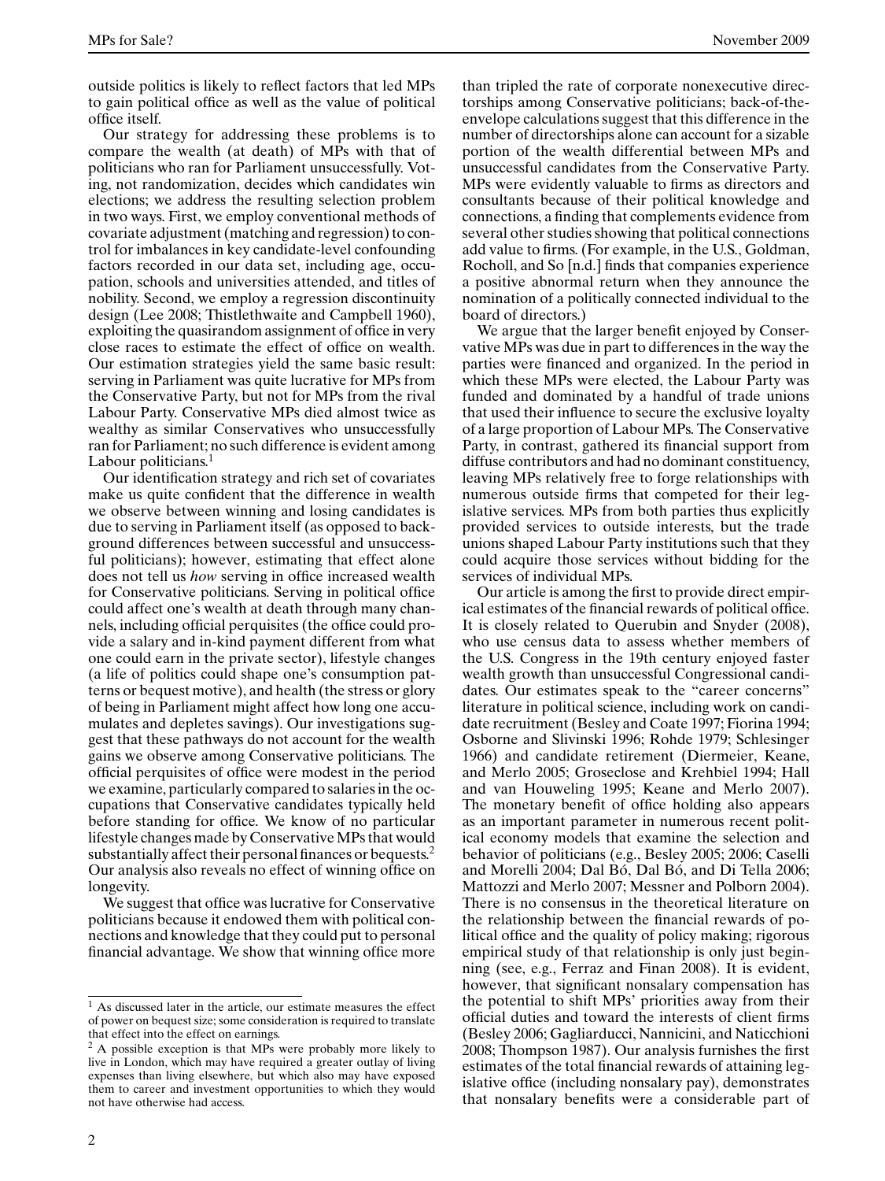outside politics is likely to reflect factors that led MPs to gain political office as well as the value of political office itself.

Our strategy for addressing these problems is to compare the wealth (at death) of MPs with that of politicians who ran for Parliament unsuccessfully. Voting, not randomization, decides which candidates win elections; we address the resulting selection problem in two ways. First, we employ conventional methods of covariate adjustment (matching and regression) to control for imbalances in key candidate-level confounding factors recorded in our data set, including age, occupation, schools and universities attended, and titles of nobility. Second, we employ a regression discontinuity design (Lee 2008; Thistlethwaite and Campbell 1960), exploiting the quasirandom assignment of office in very close races to estimate the effect of office on wealth. Our estimation strategies yield the same basic result: serving in Parliament was quite lucrative for MPs from the Conservative Party, but not for MPs from the rival Labour Party. Conservative MPs died almost twice as wealthy as similar Conservatives who unsuccessfully ran for Parliament; no such difference is evident among Labour politicians.<sup>1</sup>

Our identification strategy and rich set of covariates make us quite confident that the difference in wealth we observe between winning and losing candidates is due to serving in Parliament itself (as opposed to background differences between successful and unsuccessful politicians); however, estimating that effect alone does not tell us *how* serving in office increased wealth for Conservative politicians. Serving in political office could affect one's wealth at death through many channels, including official perquisites (the office could provide a salary and in-kind payment different from what one could earn in the private sector), lifestyle changes (a life of politics could shape one's consumption patterns or bequest motive), and health (the stress or glory of being in Parliament might affect how long one accumulates and depletes savings). Our investigations suggest that these pathways do not account for the wealth gains we observe among Conservative politicians. The official perquisites of office were modest in the period we examine, particularly compared to salaries in the occupations that Conservative candidates typically held before standing for office. We know of no particular lifestyle changes made by Conservative MPs that would substantially affect their personal finances or bequests.<sup>2</sup> Our analysis also reveals no effect of winning office on longevity.

We suggest that office was lucrative for Conservative politicians because it endowed them with political connections and knowledge that they could put to personal financial advantage. We show that winning office more

2

than tripled the rate of corporate nonexecutive directorships among Conservative politicians; back-of-theenvelope calculations suggest that this difference in the number of directorships alone can account for a sizable portion of the wealth differential between MPs and unsuccessful candidates from the Conservative Party. MPs were evidently valuable to firms as directors and consultants because of their political knowledge and connections, a finding that complements evidence from several other studies showing that political connections add value to firms. (For example, in the U.S., Goldman, Rocholl, and So [n.d.] finds that companies experience a positive abnormal return when they announce the nomination of a politically connected individual to the board of directors.)

We argue that the larger benefit enjoyed by Conservative MPs was due in part to differences in the way the parties were financed and organized. In the period in which these MPs were elected, the Labour Party was funded and dominated by a handful of trade unions that used their influence to secure the exclusive loyalty of a large proportion of Labour MPs. The Conservative Party, in contrast, gathered its financial support from diffuse contributors and had no dominant constituency, leaving MPs relatively free to forge relationships with numerous outside firms that competed for their legislative services. MPs from both parties thus explicitly provided services to outside interests, but the trade unions shaped Labour Party institutions such that they could acquire those services without bidding for the services of individual MPs.

Our article is among the first to provide direct empirical estimates of the financial rewards of political office. It is closely related to Querubin and Snyder (2008), who use census data to assess whether members of the U.S. Congress in the 19th century enjoyed faster wealth growth than unsuccessful Congressional candidates. Our estimates speak to the "career concerns" literature in political science, including work on candidate recruitment (Besley and Coate 1997; Fiorina 1994; Osborne and Slivinski 1996; Rohde 1979; Schlesinger 1966) and candidate retirement (Diermeier, Keane, and Merlo 2005; Groseclose and Krehbiel 1994; Hall and van Houweling 1995; Keane and Merlo 2007). The monetary benefit of office holding also appears as an important parameter in numerous recent political economy models that examine the selection and behavior of politicians (e.g., Besley 2005; 2006; Caselli and Morelli 2004; Dal Bó, Dal Bó, and Di Tella 2006; Mattozzi and Merlo 2007; Messner and Polborn 2004). There is no consensus in the theoretical literature on the relationship between the financial rewards of political office and the quality of policy making; rigorous empirical study of that relationship is only just beginning (see, e.g., Ferraz and Finan 2008). It is evident, however, that significant nonsalary compensation has the potential to shift MPs' priorities away from their official duties and toward the interests of client firms (Besley 2006; Gagliarducci, Nannicini, and Naticchioni 2008; Thompson 1987). Our analysis furnishes the first estimates of the total financial rewards of attaining legislative office (including nonsalary pay), demonstrates that nonsalary benefits were a considerable part of

 $<sup>1</sup>$  As discussed later in the article, our estimate measures the effect</sup> of power on bequest size; some consideration is required to translate that effect into the effect on earnings.

 $2A$  possible exception is that MPs were probably more likely to live in London, which may have required a greater outlay of living expenses than living elsewhere, but which also may have exposed them to career and investment opportunities to which they would not have otherwise had access.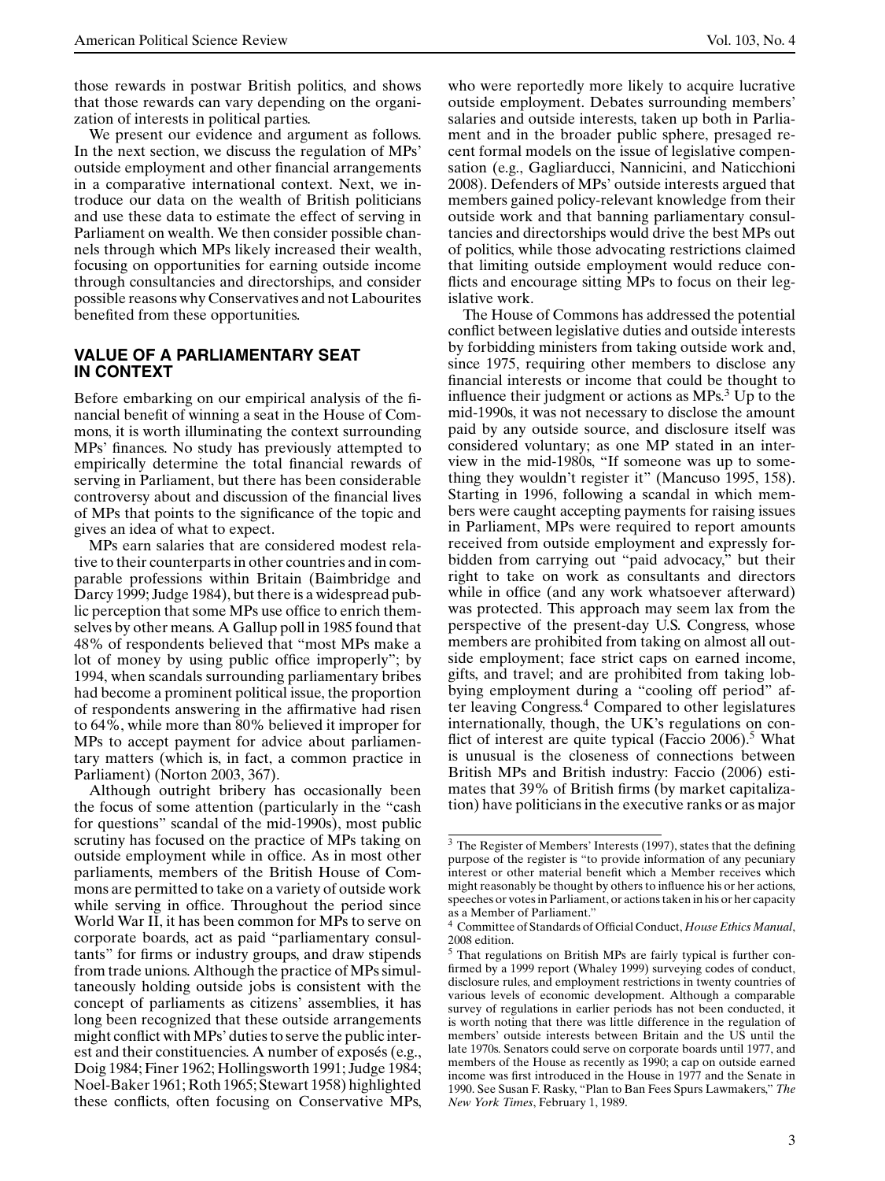those rewards in postwar British politics, and shows that those rewards can vary depending on the organization of interests in political parties.

We present our evidence and argument as follows. In the next section, we discuss the regulation of MPs' outside employment and other financial arrangements in a comparative international context. Next, we introduce our data on the wealth of British politicians and use these data to estimate the effect of serving in Parliament on wealth. We then consider possible channels through which MPs likely increased their wealth, focusing on opportunities for earning outside income through consultancies and directorships, and consider possible reasons why Conservatives and not Labourites benefited from these opportunities.

## **VALUE OF A PARLIAMENTARY SEAT IN CONTEXT**

Before embarking on our empirical analysis of the financial benefit of winning a seat in the House of Commons, it is worth illuminating the context surrounding MPs' finances. No study has previously attempted to empirically determine the total financial rewards of serving in Parliament, but there has been considerable controversy about and discussion of the financial lives of MPs that points to the significance of the topic and gives an idea of what to expect.

MPs earn salaries that are considered modest relative to their counterparts in other countries and in comparable professions within Britain (Baimbridge and Darcy 1999; Judge 1984), but there is a widespread public perception that some MPs use office to enrich themselves by other means. A Gallup poll in 1985 found that 48% of respondents believed that "most MPs make a lot of money by using public office improperly"; by 1994, when scandals surrounding parliamentary bribes had become a prominent political issue, the proportion of respondents answering in the affirmative had risen to 64%, while more than 80% believed it improper for MPs to accept payment for advice about parliamentary matters (which is, in fact, a common practice in Parliament) (Norton 2003, 367).

Although outright bribery has occasionally been the focus of some attention (particularly in the "cash for questions" scandal of the mid-1990s), most public scrutiny has focused on the practice of MPs taking on outside employment while in office. As in most other parliaments, members of the British House of Commons are permitted to take on a variety of outside work while serving in office. Throughout the period since World War II, it has been common for MPs to serve on corporate boards, act as paid "parliamentary consultants" for firms or industry groups, and draw stipends from trade unions. Although the practice of MPs simultaneously holding outside jobs is consistent with the concept of parliaments as citizens' assemblies, it has long been recognized that these outside arrangements might conflict with MPs' duties to serve the public interest and their constituencies. A number of exposés (e.g., Doig 1984; Finer 1962; Hollingsworth 1991; Judge 1984; Noel-Baker 1961; Roth 1965; Stewart 1958) highlighted these conflicts, often focusing on Conservative MPs,

who were reportedly more likely to acquire lucrative outside employment. Debates surrounding members' salaries and outside interests, taken up both in Parliament and in the broader public sphere, presaged recent formal models on the issue of legislative compensation (e.g., Gagliarducci, Nannicini, and Naticchioni 2008). Defenders of MPs' outside interests argued that members gained policy-relevant knowledge from their outside work and that banning parliamentary consultancies and directorships would drive the best MPs out of politics, while those advocating restrictions claimed that limiting outside employment would reduce conflicts and encourage sitting MPs to focus on their legislative work.

The House of Commons has addressed the potential conflict between legislative duties and outside interests by forbidding ministers from taking outside work and, since 1975, requiring other members to disclose any financial interests or income that could be thought to influence their judgment or actions as  $MPs<sup>3</sup> Up$  to the mid-1990s, it was not necessary to disclose the amount paid by any outside source, and disclosure itself was considered voluntary; as one MP stated in an interview in the mid-1980s, "If someone was up to something they wouldn't register it" (Mancuso 1995, 158). Starting in 1996, following a scandal in which members were caught accepting payments for raising issues in Parliament, MPs were required to report amounts received from outside employment and expressly forbidden from carrying out "paid advocacy," but their right to take on work as consultants and directors while in office (and any work whatsoever afterward) was protected. This approach may seem lax from the perspective of the present-day U.S. Congress, whose members are prohibited from taking on almost all outside employment; face strict caps on earned income, gifts, and travel; and are prohibited from taking lobbying employment during a "cooling off period" after leaving Congress.<sup>4</sup> Compared to other legislatures internationally, though, the UK's regulations on conflict of interest are quite typical (Faccio 2006).<sup>5</sup> What is unusual is the closeness of connections between British MPs and British industry: Faccio (2006) estimates that 39% of British firms (by market capitalization) have politicians in the executive ranks or as major

<sup>&</sup>lt;sup>3</sup> The Register of Members' Interests (1997), states that the defining purpose of the register is "to provide information of any pecuniary interest or other material benefit which a Member receives which might reasonably be thought by others to influence his or her actions, speeches or votes in Parliament, or actions taken in his or her capacity as a Member of Parliament.'

<sup>4</sup> Committee of Standards of Official Conduct, *House Ethics Manual*, 2008 edition.

<sup>5</sup> That regulations on British MPs are fairly typical is further confirmed by a 1999 report (Whaley 1999) surveying codes of conduct, disclosure rules, and employment restrictions in twenty countries of various levels of economic development. Although a comparable survey of regulations in earlier periods has not been conducted, it is worth noting that there was little difference in the regulation of members' outside interests between Britain and the US until the late 1970s. Senators could serve on corporate boards until 1977, and members of the House as recently as 1990; a cap on outside earned income was first introduced in the House in 1977 and the Senate in 1990. See Susan F. Rasky, "Plan to Ban Fees Spurs Lawmakers," *The New York Times*, February 1, 1989.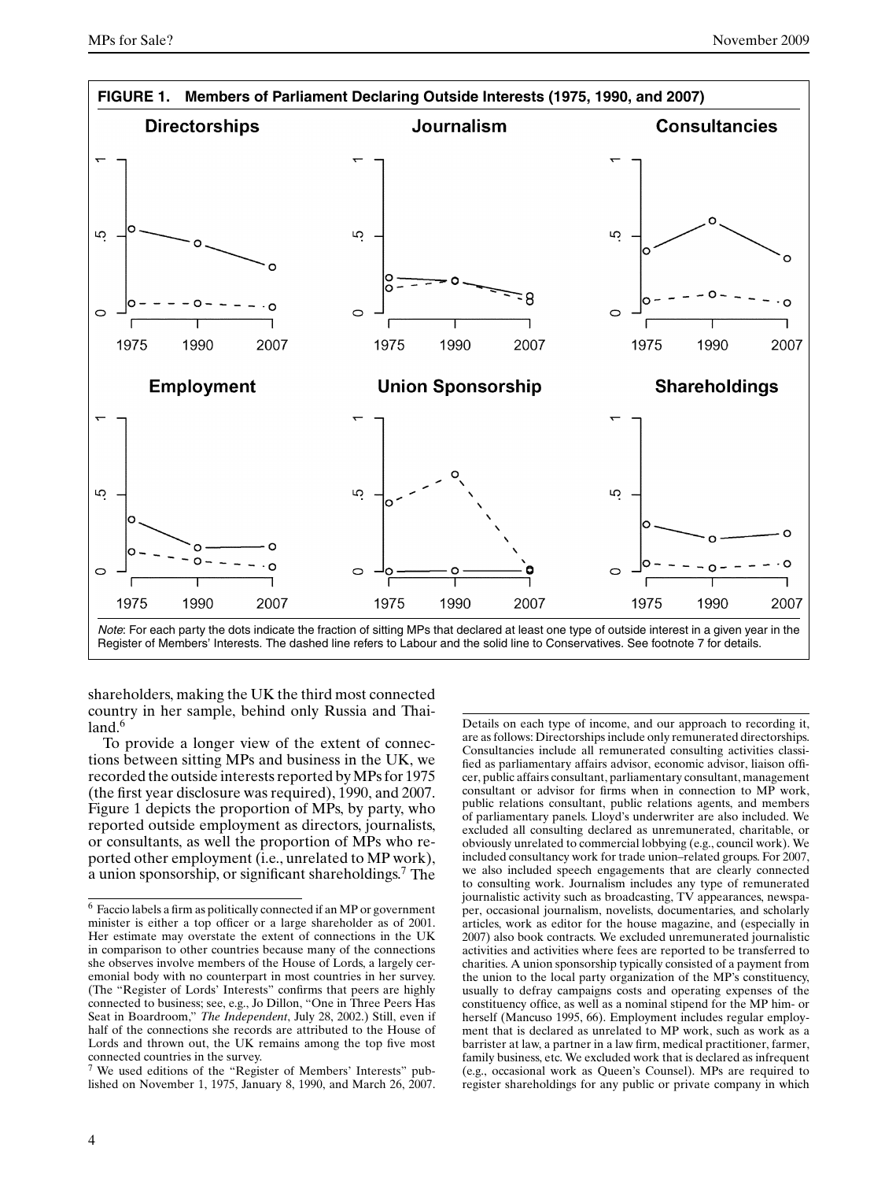

shareholders, making the UK the third most connected country in her sample, behind only Russia and Thai $land.<sup>6</sup>$ 

To provide a longer view of the extent of connections between sitting MPs and business in the UK, we recorded the outside interests reported by MPs for 1975 (the first year disclosure was required), 1990, and 2007. Figure 1 depicts the proportion of MPs, by party, who reported outside employment as directors, journalists, or consultants, as well the proportion of MPs who reported other employment (i.e., unrelated to MP work), a union sponsorship, or significant shareholdings.<sup>7</sup> The

<sup>7</sup> We used editions of the "Register of Members' Interests" published on November 1, 1975, January 8, 1990, and March 26, 2007. Details on each type of income, and our approach to recording it, are as follows: Directorships include only remunerated directorships. Consultancies include all remunerated consulting activities classified as parliamentary affairs advisor, economic advisor, liaison officer, public affairs consultant, parliamentary consultant, management consultant or advisor for firms when in connection to MP work, public relations consultant, public relations agents, and members of parliamentary panels. Lloyd's underwriter are also included. We excluded all consulting declared as unremunerated, charitable, or obviously unrelated to commercial lobbying (e.g., council work). We included consultancy work for trade union–related groups. For 2007, we also included speech engagements that are clearly connected to consulting work. Journalism includes any type of remunerated journalistic activity such as broadcasting, TV appearances, newspaper, occasional journalism, novelists, documentaries, and scholarly articles, work as editor for the house magazine, and (especially in 2007) also book contracts. We excluded unremunerated journalistic activities and activities where fees are reported to be transferred to charities. A union sponsorship typically consisted of a payment from the union to the local party organization of the MP's constituency, usually to defray campaigns costs and operating expenses of the constituency office, as well as a nominal stipend for the MP him- or herself (Mancuso 1995, 66). Employment includes regular employment that is declared as unrelated to MP work, such as work as a barrister at law, a partner in a law firm, medical practitioner, farmer, family business, etc. We excluded work that is declared as infrequent (e.g., occasional work as Queen's Counsel). MPs are required to register shareholdings for any public or private company in which

<sup>6</sup> Faccio labels a firm as politically connected if an MP or government minister is either a top officer or a large shareholder as of 2001. Her estimate may overstate the extent of connections in the UK in comparison to other countries because many of the connections she observes involve members of the House of Lords, a largely ceremonial body with no counterpart in most countries in her survey. (The "Register of Lords' Interests" confirms that peers are highly connected to business; see, e.g., Jo Dillon, "One in Three Peers Has Seat in Boardroom," *The Independent*, July 28, 2002.) Still, even if half of the connections she records are attributed to the House of Lords and thrown out, the UK remains among the top five most connected countries in the survey.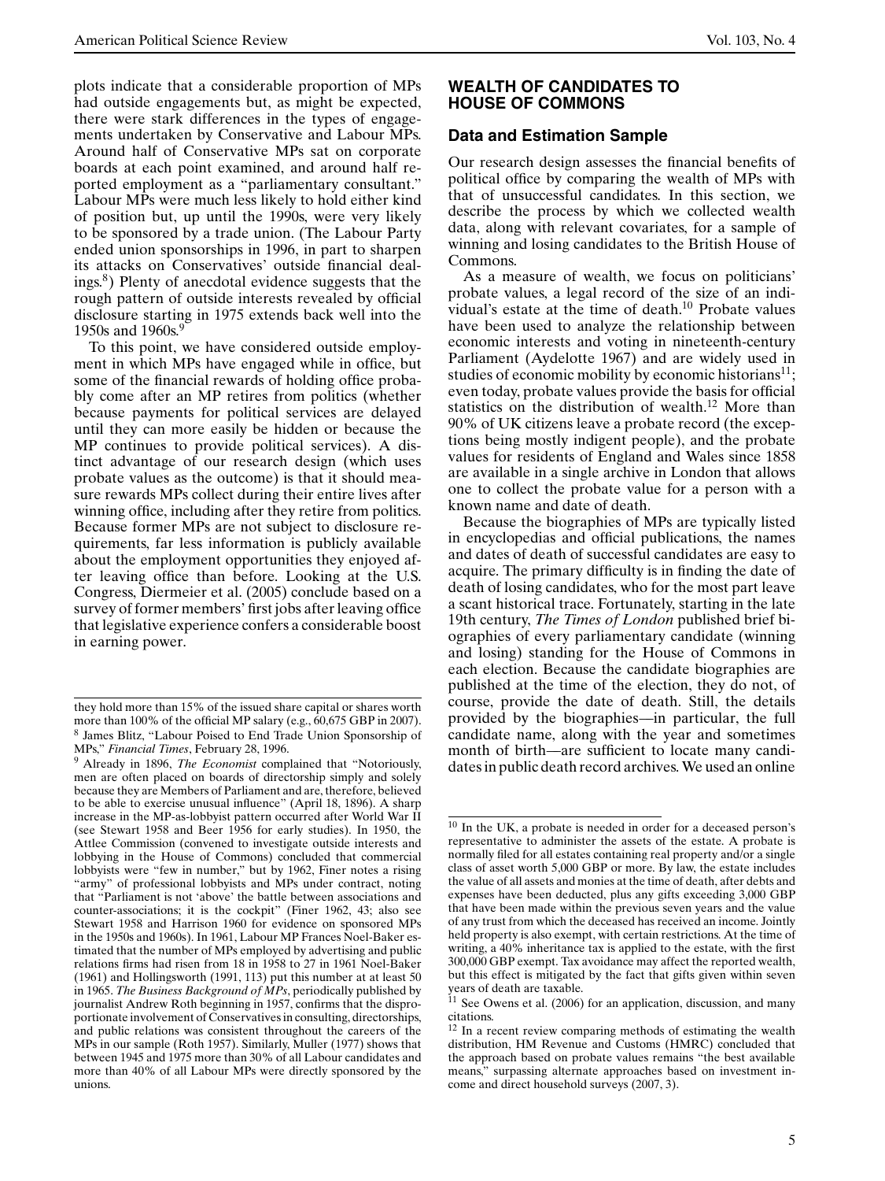plots indicate that a considerable proportion of MPs had outside engagements but, as might be expected, there were stark differences in the types of engagements undertaken by Conservative and Labour MPs. Around half of Conservative MPs sat on corporate boards at each point examined, and around half reported employment as a "parliamentary consultant." Labour MPs were much less likely to hold either kind of position but, up until the 1990s, were very likely to be sponsored by a trade union. (The Labour Party ended union sponsorships in 1996, in part to sharpen its attacks on Conservatives' outside financial dealings.8) Plenty of anecdotal evidence suggests that the rough pattern of outside interests revealed by official disclosure starting in 1975 extends back well into the 1950s and 1960s.<sup>9</sup>

To this point, we have considered outside employment in which MPs have engaged while in office, but some of the financial rewards of holding office probably come after an MP retires from politics (whether because payments for political services are delayed until they can more easily be hidden or because the MP continues to provide political services). A distinct advantage of our research design (which uses probate values as the outcome) is that it should measure rewards MPs collect during their entire lives after winning office, including after they retire from politics. Because former MPs are not subject to disclosure requirements, far less information is publicly available about the employment opportunities they enjoyed after leaving office than before. Looking at the U.S. Congress, Diermeier et al. (2005) conclude based on a survey of former members' first jobs after leaving office that legislative experience confers a considerable boost in earning power.

#### **WEALTH OF CANDIDATES TO HOUSE OF COMMONS**

### **Data and Estimation Sample**

Our research design assesses the financial benefits of political office by comparing the wealth of MPs with that of unsuccessful candidates. In this section, we describe the process by which we collected wealth data, along with relevant covariates, for a sample of winning and losing candidates to the British House of Commons.

As a measure of wealth, we focus on politicians' probate values, a legal record of the size of an individual's estate at the time of death.10 Probate values have been used to analyze the relationship between economic interests and voting in nineteenth-century Parliament (Aydelotte 1967) and are widely used in studies of economic mobility by economic historians $^{11}$ ; even today, probate values provide the basis for official statistics on the distribution of wealth.<sup>12</sup> More than 90% of UK citizens leave a probate record (the exceptions being mostly indigent people), and the probate values for residents of England and Wales since 1858 are available in a single archive in London that allows one to collect the probate value for a person with a known name and date of death.

Because the biographies of MPs are typically listed in encyclopedias and official publications, the names and dates of death of successful candidates are easy to acquire. The primary difficulty is in finding the date of death of losing candidates, who for the most part leave a scant historical trace. Fortunately, starting in the late 19th century, *The Times of London* published brief biographies of every parliamentary candidate (winning and losing) standing for the House of Commons in each election. Because the candidate biographies are published at the time of the election, they do not, of course, provide the date of death. Still, the details provided by the biographies—–in particular, the full candidate name, along with the year and sometimes month of birth—–are sufficient to locate many candidates in public death record archives. We used an online

they hold more than 15% of the issued share capital or shares worth more than 100% of the official MP salary (e.g.,  $60,675$  GBP in 2007). <sup>8</sup> James Blitz, "Labour Poised to End Trade Union Sponsorship of MPs," *Financial Times*, February 28, 1996.

<sup>9</sup> Already in 1896, *The Economist* complained that "Notoriously, men are often placed on boards of directorship simply and solely because they are Members of Parliament and are, therefore, believed to be able to exercise unusual influence" (April 18, 1896). A sharp increase in the MP-as-lobbyist pattern occurred after World War II (see Stewart 1958 and Beer 1956 for early studies). In 1950, the Attlee Commission (convened to investigate outside interests and lobbying in the House of Commons) concluded that commercial lobbyists were "few in number," but by 1962, Finer notes a rising "army" of professional lobbyists and MPs under contract, noting that "Parliament is not 'above' the battle between associations and counter-associations; it is the cockpit" (Finer 1962, 43; also see Stewart 1958 and Harrison 1960 for evidence on sponsored MPs in the 1950s and 1960s). In 1961, Labour MP Frances Noel-Baker estimated that the number of MPs employed by advertising and public relations firms had risen from 18 in 1958 to 27 in 1961 Noel-Baker (1961) and Hollingsworth (1991, 113) put this number at at least 50 in 1965. *The Business Background of MPs*, periodically published by journalist Andrew Roth beginning in 1957, confirms that the disproportionate involvement of Conservatives in consulting, directorships, and public relations was consistent throughout the careers of the MPs in our sample (Roth 1957). Similarly, Muller (1977) shows that between 1945 and 1975 more than 30% of all Labour candidates and more than 40% of all Labour MPs were directly sponsored by the unions.

<sup>10</sup> In the UK, a probate is needed in order for a deceased person's representative to administer the assets of the estate. A probate is normally filed for all estates containing real property and/or a single class of asset worth 5,000 GBP or more. By law, the estate includes the value of all assets and monies at the time of death, after debts and expenses have been deducted, plus any gifts exceeding 3,000 GBP that have been made within the previous seven years and the value of any trust from which the deceased has received an income. Jointly held property is also exempt, with certain restrictions. At the time of writing, a 40% inheritance tax is applied to the estate, with the first 300,000 GBP exempt. Tax avoidance may affect the reported wealth, but this effect is mitigated by the fact that gifts given within seven years of death are taxable.

 $11$  See Owens et al. (2006) for an application, discussion, and many citations.

<sup>&</sup>lt;sup>12</sup> In a recent review comparing methods of estimating the wealth distribution, HM Revenue and Customs (HMRC) concluded that the approach based on probate values remains "the best available means," surpassing alternate approaches based on investment income and direct household surveys (2007, 3).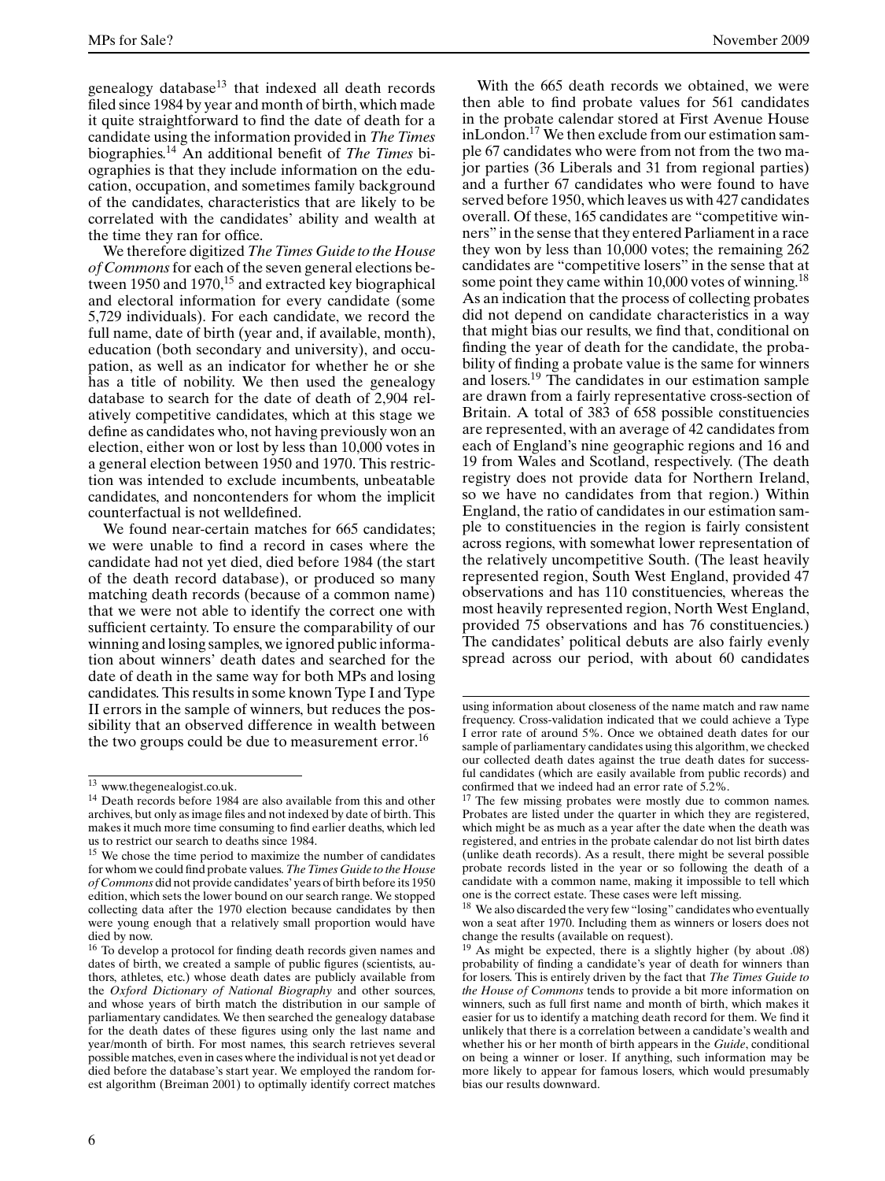MPs for Sale? November 2009

genealogy database $13$  that indexed all death records filed since 1984 by year and month of birth, which made it quite straightforward to find the date of death for a candidate using the information provided in *The Times* biographies.<sup>14</sup> An additional benefit of *The Times* biographies is that they include information on the education, occupation, and sometimes family background of the candidates, characteristics that are likely to be correlated with the candidates' ability and wealth at the time they ran for office.

We therefore digitized *The Times Guide to the House of Commons*for each of the seven general elections between 1950 and  $1970$ ,<sup>15</sup> and extracted key biographical and electoral information for every candidate (some 5,729 individuals). For each candidate, we record the full name, date of birth (year and, if available, month), education (both secondary and university), and occupation, as well as an indicator for whether he or she has a title of nobility. We then used the genealogy database to search for the date of death of 2,904 relatively competitive candidates, which at this stage we define as candidates who, not having previously won an election, either won or lost by less than 10,000 votes in a general election between 1950 and 1970. This restriction was intended to exclude incumbents, unbeatable candidates, and noncontenders for whom the implicit counterfactual is not welldefined.

We found near-certain matches for 665 candidates; we were unable to find a record in cases where the candidate had not yet died, died before 1984 (the start of the death record database), or produced so many matching death records (because of a common name) that we were not able to identify the correct one with sufficient certainty. To ensure the comparability of our winning and losing samples, we ignored public information about winners' death dates and searched for the date of death in the same way for both MPs and losing candidates. This results in some known Type I and Type II errors in the sample of winners, but reduces the possibility that an observed difference in wealth between the two groups could be due to measurement error.<sup>16</sup>

With the 665 death records we obtained, we were then able to find probate values for 561 candidates in the probate calendar stored at First Avenue House inLondon.17 We then exclude from our estimation sample 67 candidates who were from not from the two major parties (36 Liberals and 31 from regional parties) and a further 67 candidates who were found to have served before 1950, which leaves us with 427 candidates overall. Of these, 165 candidates are "competitive winners" in the sense that they entered Parliament in a race they won by less than 10,000 votes; the remaining 262 candidates are "competitive losers" in the sense that at some point they came within 10,000 votes of winning.<sup>18</sup> As an indication that the process of collecting probates did not depend on candidate characteristics in a way that might bias our results, we find that, conditional on finding the year of death for the candidate, the probability of finding a probate value is the same for winners and losers.<sup>19</sup> The candidates in our estimation sample are drawn from a fairly representative cross-section of Britain. A total of 383 of 658 possible constituencies are represented, with an average of 42 candidates from each of England's nine geographic regions and 16 and 19 from Wales and Scotland, respectively. (The death registry does not provide data for Northern Ireland, so we have no candidates from that region.) Within England, the ratio of candidates in our estimation sample to constituencies in the region is fairly consistent across regions, with somewhat lower representation of the relatively uncompetitive South. (The least heavily represented region, South West England, provided 47 observations and has 110 constituencies, whereas the most heavily represented region, North West England, provided 75 observations and has 76 constituencies.) The candidates' political debuts are also fairly evenly spread across our period, with about 60 candidates

<sup>13</sup> www.thegenealogist.co.uk.

<sup>&</sup>lt;sup>14</sup> Death records before 1984 are also available from this and other archives, but only as image files and not indexed by date of birth. This makes it much more time consuming to find earlier deaths, which led us to restrict our search to deaths since 1984.

<sup>&</sup>lt;sup>15</sup> We chose the time period to maximize the number of candidates for whom we could find probate values.*The Times Guide to the House of Commons* did not provide candidates' years of birth before its 1950 edition, which sets the lower bound on our search range. We stopped collecting data after the 1970 election because candidates by then were young enough that a relatively small proportion would have died by now.

<sup>&</sup>lt;sup>16</sup> To develop a protocol for finding death records given names and dates of birth, we created a sample of public figures (scientists, authors, athletes, etc.) whose death dates are publicly available from the *Oxford Dictionary of National Biography* and other sources, and whose years of birth match the distribution in our sample of parliamentary candidates. We then searched the genealogy database for the death dates of these figures using only the last name and year/month of birth. For most names, this search retrieves several possible matches, even in cases where the individual is not yet dead or died before the database's start year. We employed the random forest algorithm (Breiman 2001) to optimally identify correct matches

using information about closeness of the name match and raw name frequency. Cross-validation indicated that we could achieve a Type I error rate of around 5%. Once we obtained death dates for our sample of parliamentary candidates using this algorithm, we checked our collected death dates against the true death dates for successful candidates (which are easily available from public records) and confirmed that we indeed had an error rate of 5.2%.

<sup>&</sup>lt;sup>17</sup> The few missing probates were mostly due to common names. Probates are listed under the quarter in which they are registered, which might be as much as a year after the date when the death was registered, and entries in the probate calendar do not list birth dates (unlike death records). As a result, there might be several possible probate records listed in the year or so following the death of a candidate with a common name, making it impossible to tell which one is the correct estate. These cases were left missing.

<sup>&</sup>lt;sup>18</sup> We also discarded the very few "losing" candidates who eventually won a seat after 1970. Including them as winners or losers does not change the results (available on request).

<sup>19</sup> As might be expected, there is a slightly higher (by about .08) probability of finding a candidate's year of death for winners than for losers. This is entirely driven by the fact that *The Times Guide to the House of Commons* tends to provide a bit more information on winners, such as full first name and month of birth, which makes it easier for us to identify a matching death record for them. We find it unlikely that there is a correlation between a candidate's wealth and whether his or her month of birth appears in the *Guide*, conditional on being a winner or loser. If anything, such information may be more likely to appear for famous losers, which would presumably bias our results downward.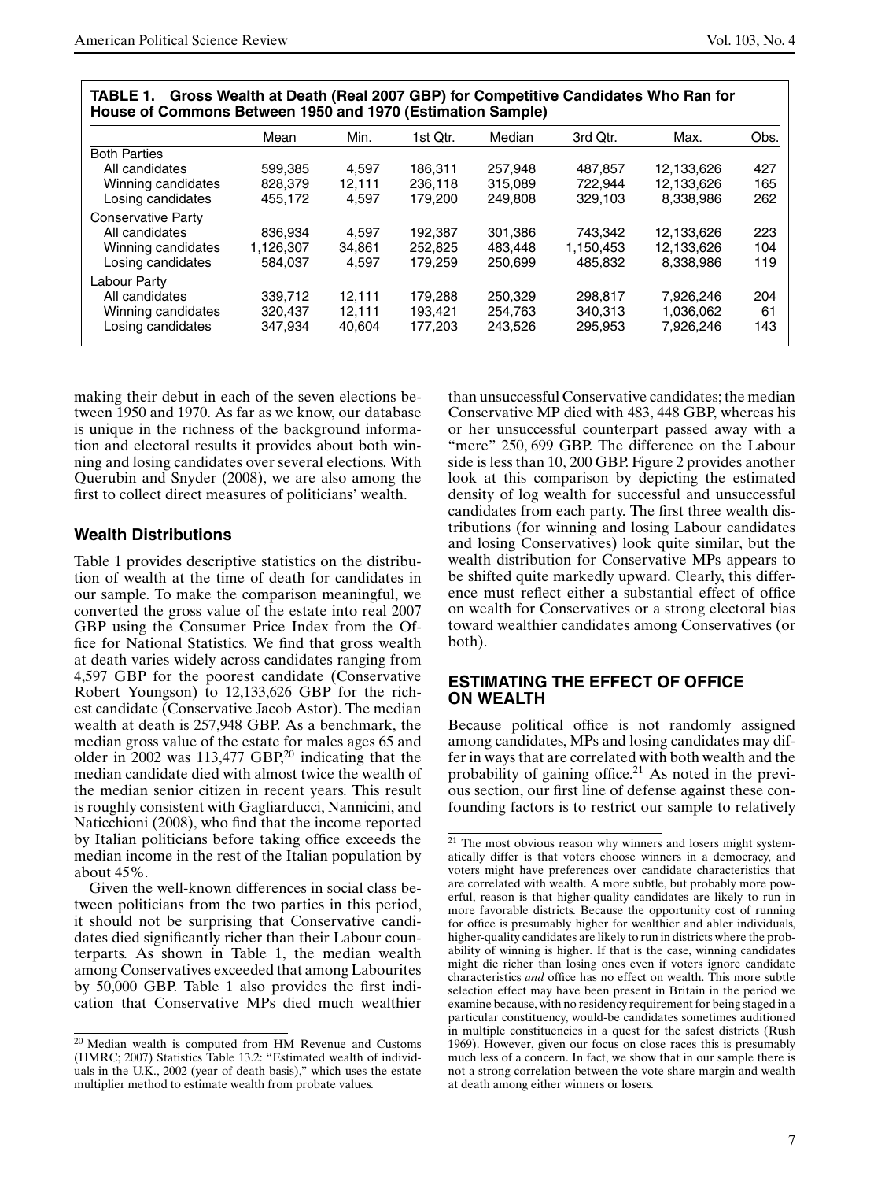|                           | Mean      | Min.   | 1st Qtr. | Median  | 3rd Qtr.  | Max.       | Obs. |
|---------------------------|-----------|--------|----------|---------|-----------|------------|------|
| <b>Both Parties</b>       |           |        |          |         |           |            |      |
| All candidates            | 599.385   | 4.597  | 186.311  | 257.948 | 487,857   | 12.133.626 | 427  |
| Winning candidates        | 828,379   | 12.111 | 236.118  | 315.089 | 722.944   | 12.133.626 | 165  |
| Losing candidates         | 455,172   | 4.597  | 179.200  | 249,808 | 329.103   | 8,338,986  | 262  |
| <b>Conservative Party</b> |           |        |          |         |           |            |      |
| All candidates            | 836.934   | 4.597  | 192.387  | 301.386 | 743.342   | 12.133.626 | 223  |
| Winning candidates        | 1.126.307 | 34.861 | 252,825  | 483.448 | 1,150,453 | 12.133.626 | 104  |
| Losing candidates         | 584.037   | 4.597  | 179.259  | 250.699 | 485.832   | 8.338.986  | 119  |
| Labour Party              |           |        |          |         |           |            |      |
| All candidates            | 339.712   | 12.111 | 179.288  | 250.329 | 298.817   | 7.926.246  | 204  |
| Winning candidates        | 320,437   | 12,111 | 193.421  | 254.763 | 340.313   | 1,036,062  | 61   |
| Losing candidates         | 347,934   | 40.604 | 177.203  | 243.526 | 295,953   | 7,926,246  | 143  |

**TABLE 1. Gross Wealth at Death (Real 2007 GBP) for Competitive Candidates Who Ran for**

making their debut in each of the seven elections between 1950 and 1970. As far as we know, our database is unique in the richness of the background information and electoral results it provides about both winning and losing candidates over several elections. With Querubin and Snyder (2008), we are also among the first to collect direct measures of politicians' wealth.

#### **Wealth Distributions**

Table 1 provides descriptive statistics on the distribution of wealth at the time of death for candidates in our sample. To make the comparison meaningful, we converted the gross value of the estate into real 2007 GBP using the Consumer Price Index from the Office for National Statistics. We find that gross wealth at death varies widely across candidates ranging from 4,597 GBP for the poorest candidate (Conservative Robert Youngson) to 12,133,626 GBP for the richest candidate (Conservative Jacob Astor). The median wealth at death is 257,948 GBP. As a benchmark, the median gross value of the estate for males ages 65 and older in  $2002$  was 113,477 GBP,<sup>20</sup> indicating that the median candidate died with almost twice the wealth of the median senior citizen in recent years. This result is roughly consistent with Gagliarducci, Nannicini, and Naticchioni (2008), who find that the income reported by Italian politicians before taking office exceeds the median income in the rest of the Italian population by about 45%.

Given the well-known differences in social class between politicians from the two parties in this period, it should not be surprising that Conservative candidates died significantly richer than their Labour counterparts. As shown in Table 1, the median wealth among Conservatives exceeded that among Labourites by 50,000 GBP. Table 1 also provides the first indication that Conservative MPs died much wealthier

than unsuccessful Conservative candidates; the median Conservative MP died with 483*,* 448 GBP, whereas his or her unsuccessful counterpart passed away with a "mere" 250*,* 699 GBP. The difference on the Labour side is less than 10*,* 200 GBP. Figure 2 provides another look at this comparison by depicting the estimated density of log wealth for successful and unsuccessful candidates from each party. The first three wealth distributions (for winning and losing Labour candidates and losing Conservatives) look quite similar, but the wealth distribution for Conservative MPs appears to be shifted quite markedly upward. Clearly, this difference must reflect either a substantial effect of office on wealth for Conservatives or a strong electoral bias toward wealthier candidates among Conservatives (or both).

# **ESTIMATING THE EFFECT OF OFFICE ON WEALTH**

Because political office is not randomly assigned among candidates, MPs and losing candidates may differ in ways that are correlated with both wealth and the probability of gaining office.<sup>21</sup> As noted in the previous section, our first line of defense against these confounding factors is to restrict our sample to relatively

<sup>20</sup> Median wealth is computed from HM Revenue and Customs (HMRC; 2007) Statistics Table 13.2: "Estimated wealth of individuals in the U.K., 2002 (year of death basis)," which uses the estate multiplier method to estimate wealth from probate values.

<sup>&</sup>lt;sup>21</sup> The most obvious reason why winners and losers might systematically differ is that voters choose winners in a democracy, and voters might have preferences over candidate characteristics that are correlated with wealth. A more subtle, but probably more powerful, reason is that higher-quality candidates are likely to run in more favorable districts. Because the opportunity cost of running for office is presumably higher for wealthier and abler individuals, higher-quality candidates are likely to run in districts where the probability of winning is higher. If that is the case, winning candidates might die richer than losing ones even if voters ignore candidate characteristics *and* office has no effect on wealth. This more subtle selection effect may have been present in Britain in the period we examine because, with no residency requirement for being staged in a particular constituency, would-be candidates sometimes auditioned in multiple constituencies in a quest for the safest districts (Rush 1969). However, given our focus on close races this is presumably much less of a concern. In fact, we show that in our sample there is not a strong correlation between the vote share margin and wealth at death among either winners or losers.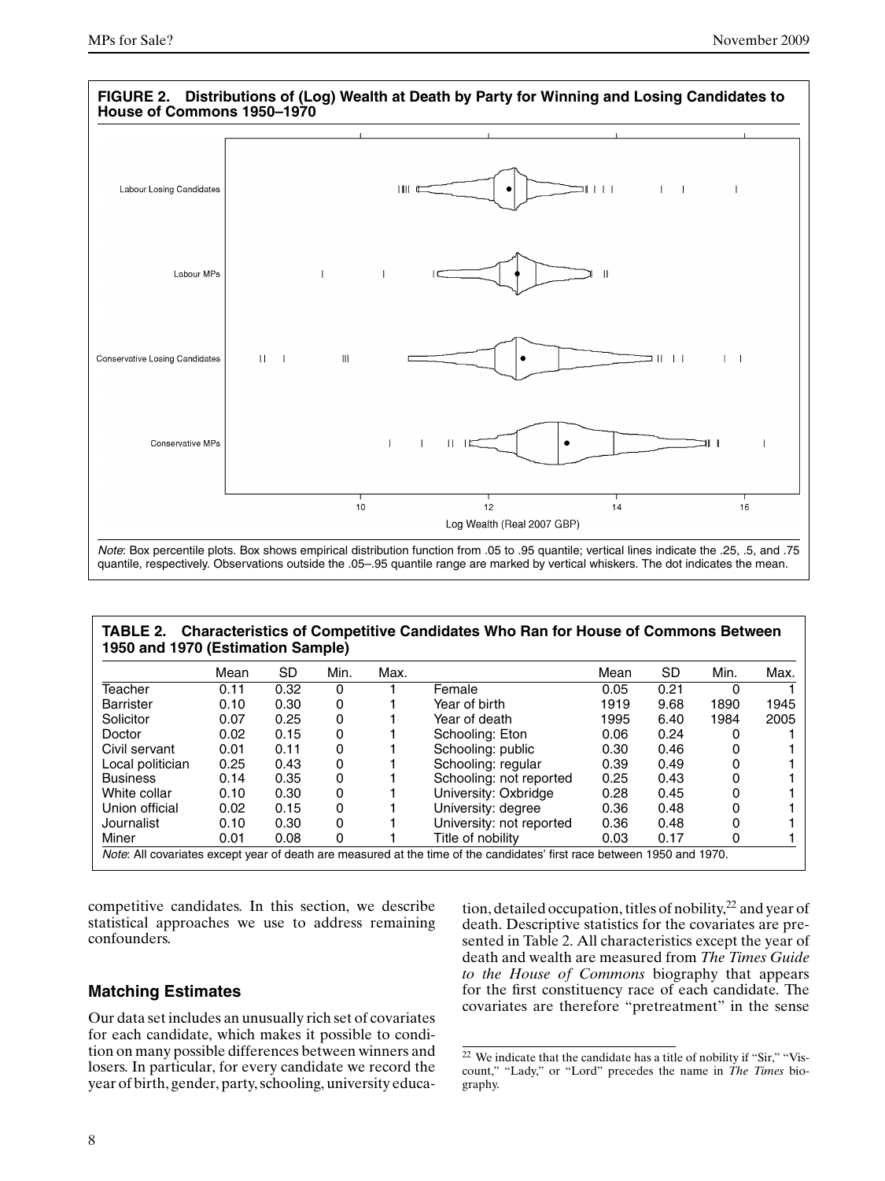

#### **TABLE 2. Characteristics of Competitive Candidates Who Ran for House of Commons Between 1950 and 1970 (Estimation Sample)**

|                  | Mean | <b>SD</b> | Min. | Max. |                          | Mean | <b>SD</b> | Min. | Max. |
|------------------|------|-----------|------|------|--------------------------|------|-----------|------|------|
| Teacher          | 0.11 | 0.32      | 0    |      | Female                   | 0.05 | 0.21      | 0    |      |
| <b>Barrister</b> | 0.10 | 0.30      | 0    |      | Year of birth            | 1919 | 9.68      | 1890 | 1945 |
| Solicitor        | 0.07 | 0.25      | 0    |      | Year of death            | 1995 | 6.40      | 1984 | 2005 |
| Doctor           | 0.02 | 0.15      | 0    |      | Schooling: Eton          | 0.06 | 0.24      |      |      |
| Civil servant    | 0.01 | 0.11      | 0    |      | Schooling: public        | 0.30 | 0.46      |      |      |
| Local politician | 0.25 | 0.43      | 0    |      | Schooling: regular       | 0.39 | 0.49      | 0    |      |
| <b>Business</b>  | 0.14 | 0.35      | 0    |      | Schooling: not reported  | 0.25 | 0.43      | 0    |      |
| White collar     | 0.10 | 0.30      | 0    |      | University: Oxbridge     | 0.28 | 0.45      | 0    |      |
| Union official   | 0.02 | 0.15      | 0    |      | University: degree       | 0.36 | 0.48      | 0    |      |
| Journalist       | 0.10 | 0.30      | 0    |      | University: not reported | 0.36 | 0.48      |      |      |
| Miner            | 0.01 | 0.08      | 0    |      | Title of nobility        | 0.03 | 0.17      | 0    |      |

competitive candidates. In this section, we describe statistical approaches we use to address remaining confounders.

# **Matching Estimates**

Our data set includes an unusually rich set of covariates for each candidate, which makes it possible to condition on many possible differences between winners and losers. In particular, for every candidate we record the year of birth, gender, party, schooling, university education, detailed occupation, titles of nobility,<sup>22</sup> and year of death. Descriptive statistics for the covariates are presented in Table 2. All characteristics except the year of death and wealth are measured from *The Times Guide to the House of Commons* biography that appears for the first constituency race of each candidate. The covariates are therefore "pretreatment" in the sense

<sup>22</sup> We indicate that the candidate has a title of nobility if "Sir," "Viscount," "Lady," or "Lord" precedes the name in *The Times* biography.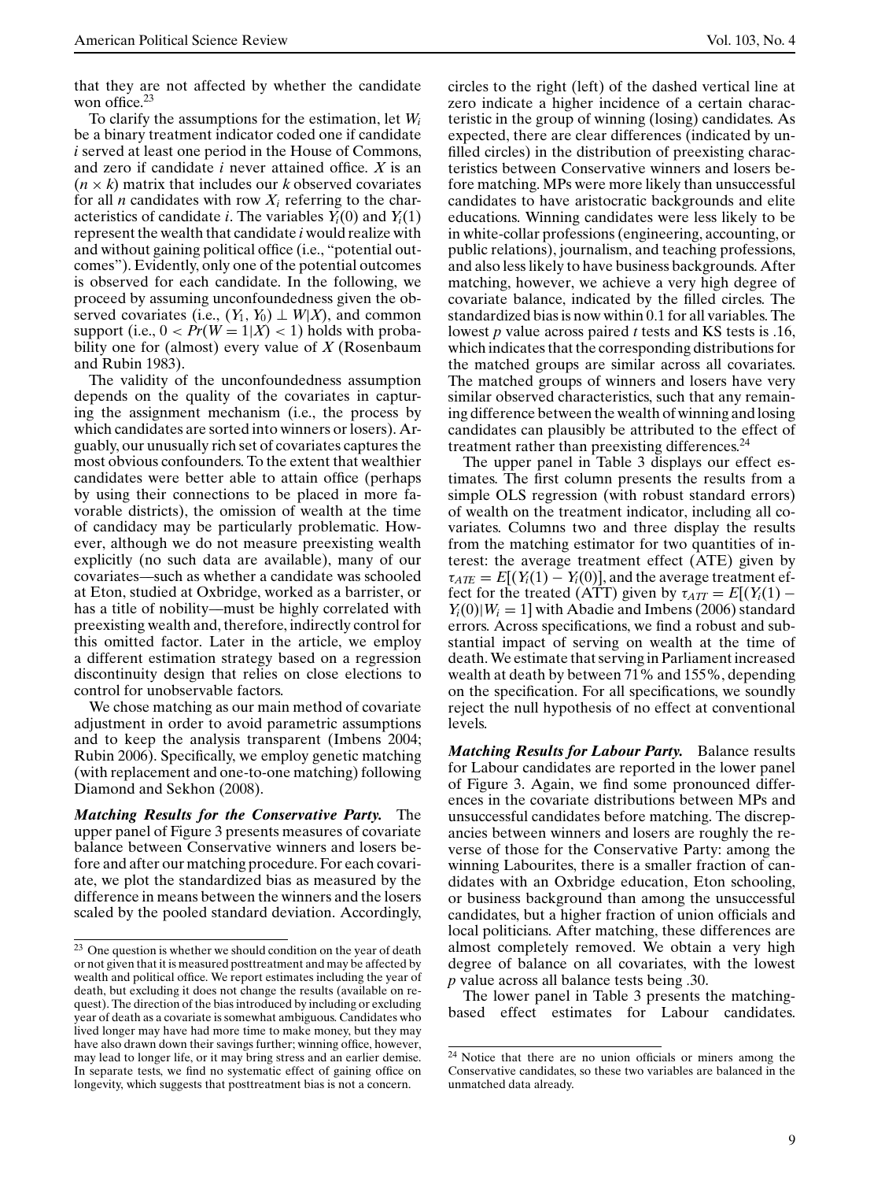that they are not affected by whether the candidate won office. $23$ 

To clarify the assumptions for the estimation, let *Wi* be a binary treatment indicator coded one if candidate *i* served at least one period in the House of Commons, and zero if candidate *i* never attained office. *X* is an  $(n \times k)$  matrix that includes our *k* observed covariates for all *n* candidates with row  $X_i$  referring to the characteristics of candidate *i*. The variables  $Y_i(0)$  and  $Y_i(1)$ represent the wealth that candidate *i* would realize with and without gaining political office (i.e., "potential outcomes"). Evidently, only one of the potential outcomes is observed for each candidate. In the following, we proceed by assuming unconfoundedness given the observed covariates (i.e.,  $(Y_1, Y_0) \perp W|X$ ), and common support (i.e.,  $0 < Pr(W = 1|X) < 1$ ) holds with probability one for (almost) every value of *X* (Rosenbaum and Rubin 1983).

The validity of the unconfoundedness assumption depends on the quality of the covariates in capturing the assignment mechanism (i.e., the process by which candidates are sorted into winners or losers). Arguably, our unusually rich set of covariates captures the most obvious confounders. To the extent that wealthier candidates were better able to attain office (perhaps by using their connections to be placed in more favorable districts), the omission of wealth at the time of candidacy may be particularly problematic. However, although we do not measure preexisting wealth explicitly (no such data are available), many of our covariates—–such as whether a candidate was schooled at Eton, studied at Oxbridge, worked as a barrister, or has a title of nobility—must be highly correlated with preexisting wealth and, therefore, indirectly control for this omitted factor. Later in the article, we employ a different estimation strategy based on a regression discontinuity design that relies on close elections to control for unobservable factors.

We chose matching as our main method of covariate adjustment in order to avoid parametric assumptions and to keep the analysis transparent (Imbens 2004; Rubin 2006). Specifically, we employ genetic matching (with replacement and one-to-one matching) following Diamond and Sekhon (2008).

*Matching Results for the Conservative Party.* The upper panel of Figure 3 presents measures of covariate balance between Conservative winners and losers before and after our matching procedure. For each covariate, we plot the standardized bias as measured by the difference in means between the winners and the losers scaled by the pooled standard deviation. Accordingly,

circles to the right (left) of the dashed vertical line at zero indicate a higher incidence of a certain characteristic in the group of winning (losing) candidates. As expected, there are clear differences (indicated by unfilled circles) in the distribution of preexisting characteristics between Conservative winners and losers before matching. MPs were more likely than unsuccessful candidates to have aristocratic backgrounds and elite educations. Winning candidates were less likely to be in white-collar professions (engineering, accounting, or public relations), journalism, and teaching professions, and also less likely to have business backgrounds. After matching, however, we achieve a very high degree of covariate balance, indicated by the filled circles. The standardized bias is now within 0*.*1 for all variables. The lowest *p* value across paired *t* tests and KS tests is *.*16, which indicates that the corresponding distributions for the matched groups are similar across all covariates. The matched groups of winners and losers have very similar observed characteristics, such that any remaining difference between the wealth of winning and losing candidates can plausibly be attributed to the effect of treatment rather than preexisting differences.<sup>24</sup>

The upper panel in Table 3 displays our effect estimates. The first column presents the results from a simple OLS regression (with robust standard errors) of wealth on the treatment indicator, including all covariates. Columns two and three display the results from the matching estimator for two quantities of interest: the average treatment effect (ATE) given by  $\tau_{ATE} = E[(Y_i(1) - Y_i(0))]$ , and the average treatment effect for the treated (ATT) given by  $\tau_{ATT} = E[(Y_i(1) Y_i(0)|W_i = 1$  with Abadie and Imbens (2006) standard errors. Across specifications, we find a robust and substantial impact of serving on wealth at the time of death. We estimate that serving in Parliament increased wealth at death by between 71% and 155%, depending on the specification. For all specifications, we soundly reject the null hypothesis of no effect at conventional levels.

*Matching Results for Labour Party.* Balance results for Labour candidates are reported in the lower panel of Figure 3. Again, we find some pronounced differences in the covariate distributions between MPs and unsuccessful candidates before matching. The discrepancies between winners and losers are roughly the reverse of those for the Conservative Party: among the winning Labourites, there is a smaller fraction of candidates with an Oxbridge education, Eton schooling, or business background than among the unsuccessful candidates, but a higher fraction of union officials and local politicians. After matching, these differences are almost completely removed. We obtain a very high degree of balance on all covariates, with the lowest *p* value across all balance tests being *.*30.

The lower panel in Table 3 presents the matchingbased effect estimates for Labour candidates.

<sup>&</sup>lt;sup>23</sup> One question is whether we should condition on the year of death or not given that it is measured posttreatment and may be affected by wealth and political office. We report estimates including the year of death, but excluding it does not change the results (available on request). The direction of the bias introduced by including or excluding year of death as a covariate is somewhat ambiguous. Candidates who lived longer may have had more time to make money, but they may have also drawn down their savings further; winning office, however, may lead to longer life, or it may bring stress and an earlier demise. In separate tests, we find no systematic effect of gaining office on longevity, which suggests that posttreatment bias is not a concern.

<sup>24</sup> Notice that there are no union officials or miners among the Conservative candidates, so these two variables are balanced in the unmatched data already.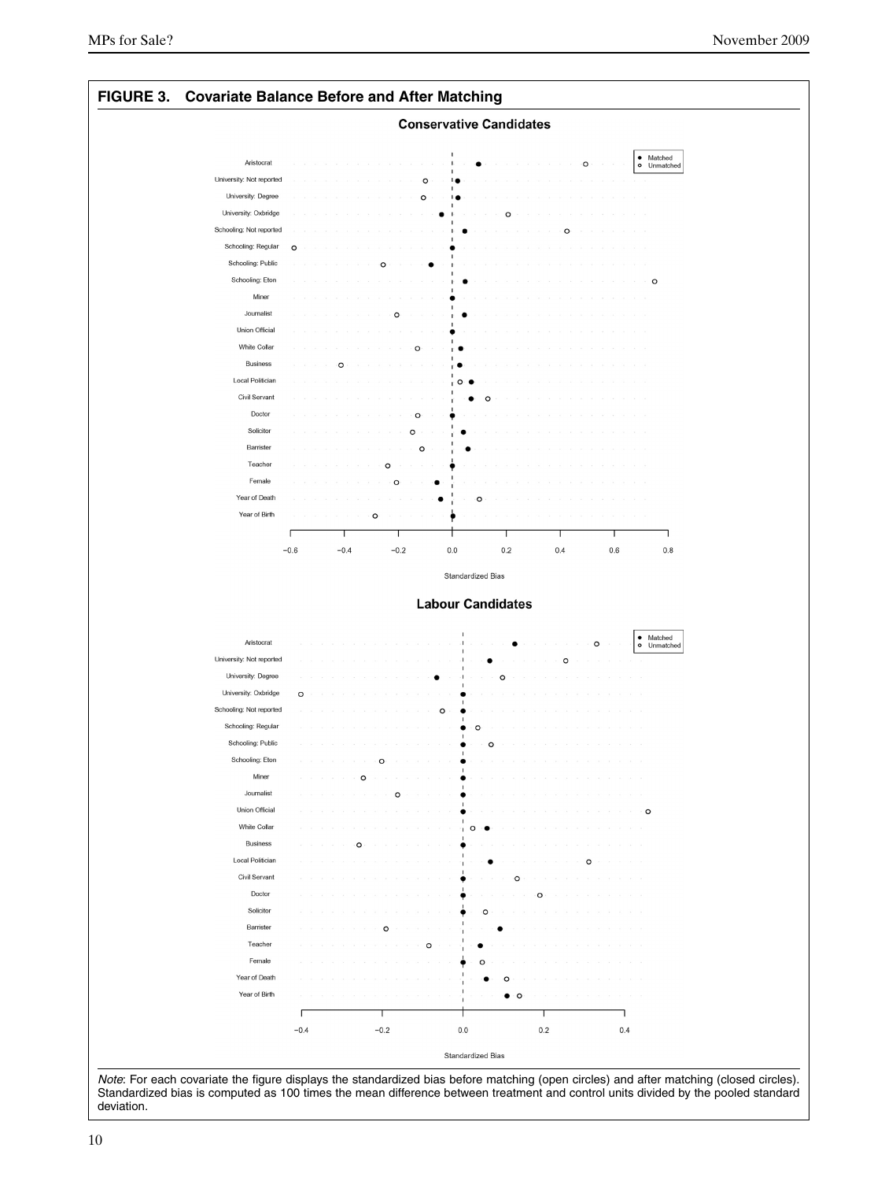

Standardized bias is computed as 100 times the mean difference between treatment and control units divided by the pooled standard deviation.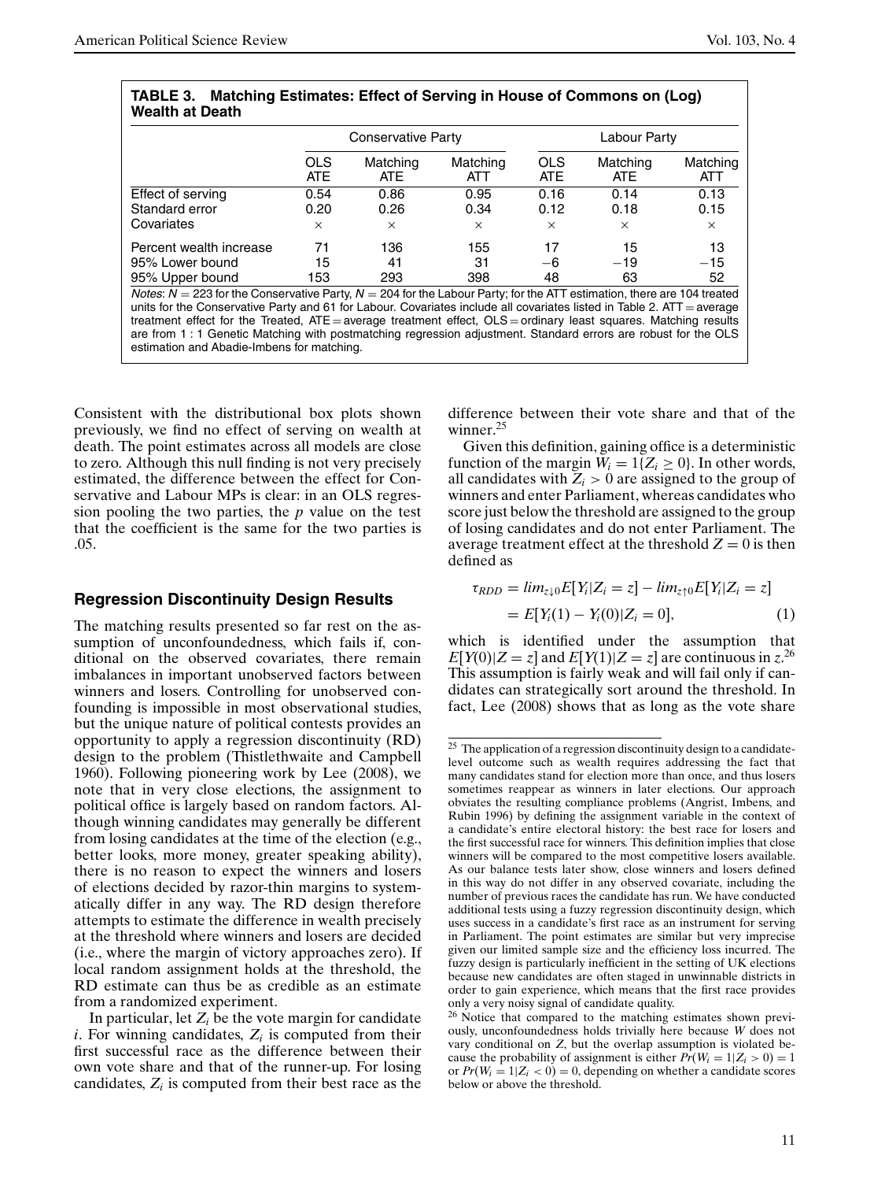|                        | TABLE 3. Matching Estimates: Effect of Serving in House of Commons on (Log) |
|------------------------|-----------------------------------------------------------------------------|
| <b>Wealth at Death</b> |                                                                             |

| wcann al Dcain          |                   |                           |                 |                    |                        |                 |
|-------------------------|-------------------|---------------------------|-----------------|--------------------|------------------------|-----------------|
|                         |                   | <b>Conservative Party</b> |                 |                    | Labour Party           |                 |
|                         | <b>OLS</b><br>ATE | Matching<br>ATE.          | Matching<br>ATT | <b>OLS</b><br>ATE. | Matching<br><b>ATE</b> | Matching<br>ATT |
| Effect of serving       | 0.54              | 0.86                      | 0.95            | 0.16               | 0.14                   | 0.13            |
| Standard error          | 0.20              | 0.26                      | 0.34            | 0.12               | 0.18                   | 0.15            |
| Covariates              | $\times$          | $\times$                  | $\times$        | $\times$           | $\times$               | $\times$        |
| Percent wealth increase | 71                | 136                       | 155             | 17                 | 15                     | 13              |
| 95% Lower bound         | 15                | 41                        | 31              | -6                 | $-19$                  | $-15$           |
| 95% Upper bound         | 153               | 293                       | 398             | 48                 | 63                     | 52              |

Notes:  $N = 223$  for the Conservative Party,  $N = 204$  for the Labour Party; for the ATT estimation, there are 104 treated units for the Conservative Party and 61 for Labour. Covariates include all covariates listed in Table 2.  $ATT = average$ treatment effect for the Treated, ATE = average treatment effect, OLS = ordinary least squares. Matching results are from 1 : 1 Genetic Matching with postmatching regression adjustment. Standard errors are robust for the OLS estimation and Abadie-Imbens for matching.

Consistent with the distributional box plots shown previously, we find no effect of serving on wealth at death. The point estimates across all models are close to zero. Although this null finding is not very precisely estimated, the difference between the effect for Conservative and Labour MPs is clear: in an OLS regression pooling the two parties, the *p* value on the test that the coefficient is the same for the two parties is .05.

#### **Regression Discontinuity Design Results**

The matching results presented so far rest on the assumption of unconfoundedness, which fails if, conditional on the observed covariates, there remain imbalances in important unobserved factors between winners and losers. Controlling for unobserved confounding is impossible in most observational studies, but the unique nature of political contests provides an opportunity to apply a regression discontinuity (RD) design to the problem (Thistlethwaite and Campbell 1960). Following pioneering work by Lee (2008), we note that in very close elections, the assignment to political office is largely based on random factors. Although winning candidates may generally be different from losing candidates at the time of the election (e.g., better looks, more money, greater speaking ability), there is no reason to expect the winners and losers of elections decided by razor-thin margins to systematically differ in any way. The RD design therefore attempts to estimate the difference in wealth precisely at the threshold where winners and losers are decided (i.e., where the margin of victory approaches zero). If local random assignment holds at the threshold, the RD estimate can thus be as credible as an estimate from a randomized experiment.

In particular, let  $Z_i$  be the vote margin for candidate  $i$ . For winning candidates,  $Z_i$  is computed from their first successful race as the difference between their own vote share and that of the runner-up. For losing candidates,  $Z_i$  is computed from their best race as the

difference between their vote share and that of the winner.<sup>25</sup>

Given this definition, gaining office is a deterministic function of the margin  $W_i = 1\{Z_i \geq 0\}$ . In other words, all candidates with  $Z_i > 0$  are assigned to the group of winners and enter Parliament, whereas candidates who score just below the threshold are assigned to the group of losing candidates and do not enter Parliament. The average treatment effect at the threshold  $Z = 0$  is then defined as

$$
\tau_{RDD} = \lim_{z \downarrow 0} E[Y_i | Z_i = z] - \lim_{z \uparrow 0} E[Y_i | Z_i = z]
$$
  
=  $E[Y_i(1) - Y_i(0) | Z_i = 0],$  (1)

which is identified under the assumption that  $E[Y(0)|Z=z]$  and  $E[Y(1)|Z=z]$  are continuous in  $z^{26}$ This assumption is fairly weak and will fail only if candidates can strategically sort around the threshold. In fact, Lee (2008) shows that as long as the vote share

 $25$  The application of a regression discontinuity design to a candidatelevel outcome such as wealth requires addressing the fact that many candidates stand for election more than once, and thus losers sometimes reappear as winners in later elections. Our approach obviates the resulting compliance problems (Angrist, Imbens, and Rubin 1996) by defining the assignment variable in the context of a candidate's entire electoral history: the best race for losers and the first successful race for winners. This definition implies that close winners will be compared to the most competitive losers available. As our balance tests later show, close winners and losers defined in this way do not differ in any observed covariate, including the number of previous races the candidate has run. We have conducted additional tests using a fuzzy regression discontinuity design, which uses success in a candidate's first race as an instrument for serving in Parliament. The point estimates are similar but very imprecise given our limited sample size and the efficiency loss incurred. The fuzzy design is particularly inefficient in the setting of UK elections because new candidates are often staged in unwinnable districts in order to gain experience, which means that the first race provides only a very noisy signal of candidate quality.

<sup>&</sup>lt;sup>26</sup> Notice that compared to the matching estimates shown previously, unconfoundedness holds trivially here because *W* does not vary conditional on *Z*, but the overlap assumption is violated because the probability of assignment is either  $Pr(W_i = 1 | Z_i > 0) = 1$ or  $Pr(W_i = 1 | Z_i < 0) = 0$ , depending on whether a candidate scores below or above the threshold.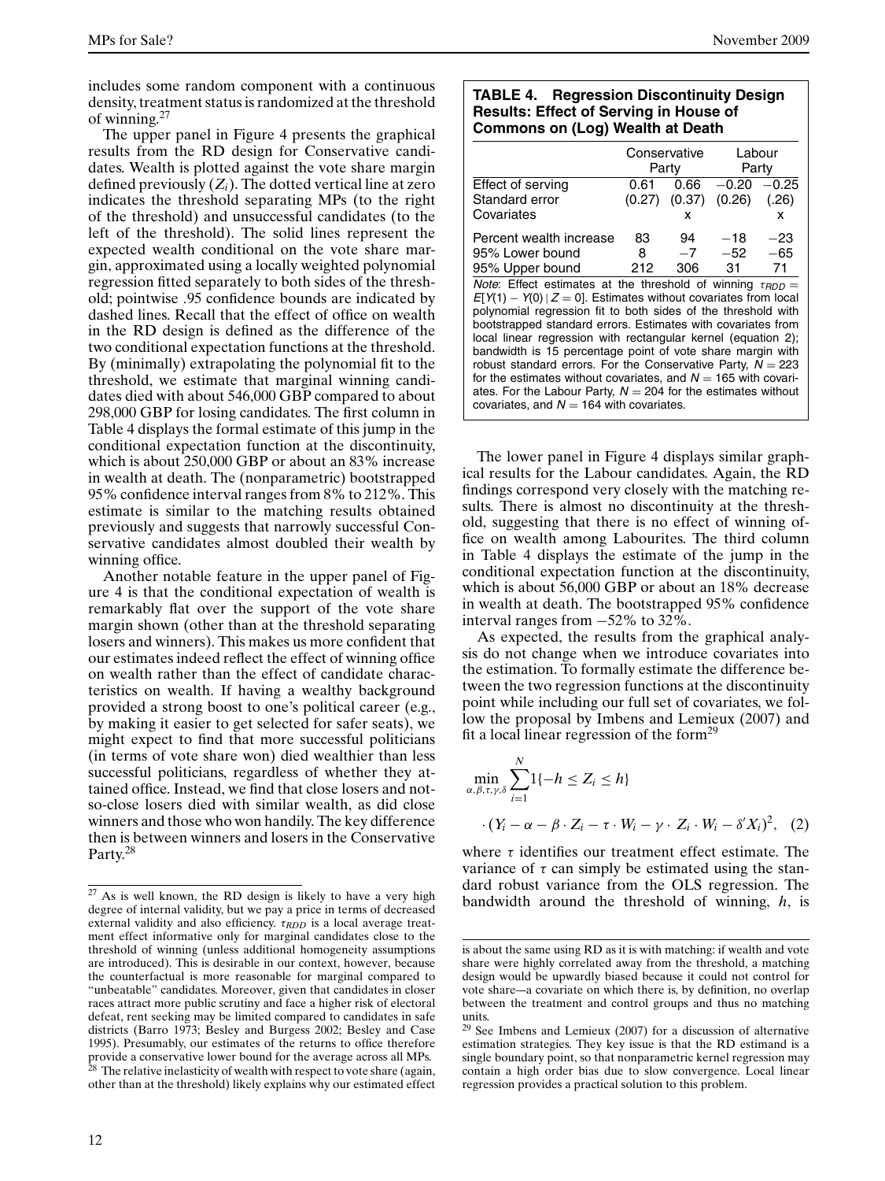includes some random component with a continuous density, treatment status is randomized at the threshold of winning.<sup>27</sup>

The upper panel in Figure 4 presents the graphical results from the RD design for Conservative candidates. Wealth is plotted against the vote share margin defined previously (*Zi*). The dotted vertical line at zero indicates the threshold separating MPs (to the right of the threshold) and unsuccessful candidates (to the left of the threshold). The solid lines represent the expected wealth conditional on the vote share margin, approximated using a locally weighted polynomial regression fitted separately to both sides of the threshold; pointwise *.*95 confidence bounds are indicated by dashed lines. Recall that the effect of office on wealth in the RD design is defined as the difference of the two conditional expectation functions at the threshold. By (minimally) extrapolating the polynomial fit to the threshold, we estimate that marginal winning candidates died with about 546,000 GBP compared to about 298,000 GBP for losing candidates. The first column in Table 4 displays the formal estimate of this jump in the conditional expectation function at the discontinuity, which is about 250,000 GBP or about an 83% increase in wealth at death. The (nonparametric) bootstrapped 95% confidence interval ranges from 8% to 212%. This estimate is similar to the matching results obtained previously and suggests that narrowly successful Conservative candidates almost doubled their wealth by winning office.

Another notable feature in the upper panel of Figure 4 is that the conditional expectation of wealth is remarkably flat over the support of the vote share margin shown (other than at the threshold separating losers and winners). This makes us more confident that our estimates indeed reflect the effect of winning office on wealth rather than the effect of candidate characteristics on wealth. If having a wealthy background provided a strong boost to one's political career (e.g., by making it easier to get selected for safer seats), we might expect to find that more successful politicians (in terms of vote share won) died wealthier than less successful politicians, regardless of whether they attained office. Instead, we find that close losers and notso-close losers died with similar wealth, as did close winners and those who won handily. The key difference then is between winners and losers in the Conservative Party.<sup>28</sup>

#### **TABLE 4. Regression Discontinuity Design Results: Effect of Serving in House of Commons on (Log) Wealth at Death**

|                                                                                                                                                                                                                                                                                                                                                                                                                                                                                                                                                                                                                                                                       |        | Conservative |         | Labour  |
|-----------------------------------------------------------------------------------------------------------------------------------------------------------------------------------------------------------------------------------------------------------------------------------------------------------------------------------------------------------------------------------------------------------------------------------------------------------------------------------------------------------------------------------------------------------------------------------------------------------------------------------------------------------------------|--------|--------------|---------|---------|
|                                                                                                                                                                                                                                                                                                                                                                                                                                                                                                                                                                                                                                                                       |        | Party        |         | Party   |
| Effect of serving                                                                                                                                                                                                                                                                                                                                                                                                                                                                                                                                                                                                                                                     | 0.61   | 0.66         | $-0.20$ | $-0.25$ |
| Standard error                                                                                                                                                                                                                                                                                                                                                                                                                                                                                                                                                                                                                                                        | (0.27) | (0.37)       | (0.26)  | (.26)   |
| Covariates                                                                                                                                                                                                                                                                                                                                                                                                                                                                                                                                                                                                                                                            |        | x            |         | x       |
| Percent wealth increase                                                                                                                                                                                                                                                                                                                                                                                                                                                                                                                                                                                                                                               | 83     | 94           | $-18$   | $-23$   |
| 95% Lower bound                                                                                                                                                                                                                                                                                                                                                                                                                                                                                                                                                                                                                                                       | 8      | $-7$         | $-52$   | $-65$   |
| 95% Upper bound                                                                                                                                                                                                                                                                                                                                                                                                                                                                                                                                                                                                                                                       | 212    | 306          | 31      | 71      |
| <i>Note</i> : Effect estimates at the threshold of winning $\tau_{RDD} =$<br>$E[Y(1) - Y(0)   Z = 0]$ . Estimates without covariates from local<br>polynomial regression fit to both sides of the threshold with<br>bootstrapped standard errors. Estimates with covariates from<br>local linear regression with rectangular kernel (equation 2);<br>bandwidth is 15 percentage point of vote share margin with<br>robust standard errors. For the Conservative Party, $N = 223$<br>for the estimates without covariates, and $N = 165$ with covari-<br>ates. For the Labour Party, $N = 204$ for the estimates without<br>covariates, and $N = 164$ with covariates. |        |              |         |         |

The lower panel in Figure 4 displays similar graphical results for the Labour candidates. Again, the RD findings correspond very closely with the matching results. There is almost no discontinuity at the threshold, suggesting that there is no effect of winning office on wealth among Labourites. The third column in Table 4 displays the estimate of the jump in the conditional expectation function at the discontinuity, which is about 56,000 GBP or about an 18% decrease in wealth at death. The bootstrapped 95% confidence interval ranges from −52% to 32%.

As expected, the results from the graphical analysis do not change when we introduce covariates into the estimation. To formally estimate the difference between the two regression functions at the discontinuity point while including our full set of covariates, we follow the proposal by Imbens and Lemieux (2007) and fit a local linear regression of the form $^{29}$ 

$$
\min_{\alpha,\beta,\tau,\gamma,\delta} \sum_{i=1}^{N} 1\{-h \le Z_i \le h\}
$$

$$
\cdot (Y_i - \alpha - \beta \cdot Z_i - \tau \cdot W_i - \gamma \cdot Z_i \cdot W_i - \delta' X_i)^2, (2)
$$

where  $\tau$  identifies our treatment effect estimate. The variance of  $\tau$  can simply be estimated using the standard robust variance from the OLS regression. The bandwidth around the threshold of winning, *h*, is

<sup>27</sup> As is well known, the RD design is likely to have a very high degree of internal validity, but we pay a price in terms of decreased external validity and also efficiency. *τRDD* is a local average treatment effect informative only for marginal candidates close to the threshold of winning (unless additional homogeneity assumptions are introduced). This is desirable in our context, however, because the counterfactual is more reasonable for marginal compared to "unbeatable" candidates. Moreover, given that candidates in closer races attract more public scrutiny and face a higher risk of electoral defeat, rent seeking may be limited compared to candidates in safe districts (Barro 1973; Besley and Burgess 2002; Besley and Case 1995). Presumably, our estimates of the returns to office therefore provide a conservative lower bound for the average across all MPs.  $28$  The relative inelasticity of wealth with respect to vote share (again, other than at the threshold) likely explains why our estimated effect

is about the same using RD as it is with matching: if wealth and vote share were highly correlated away from the threshold, a matching design would be upwardly biased because it could not control for vote share—–a covariate on which there is, by definition, no overlap between the treatment and control groups and thus no matching units.

 $29$  See Imbens and Lemieux (2007) for a discussion of alternative estimation strategies. They key issue is that the RD estimand is a single boundary point, so that nonparametric kernel regression may contain a high order bias due to slow convergence. Local linear regression provides a practical solution to this problem.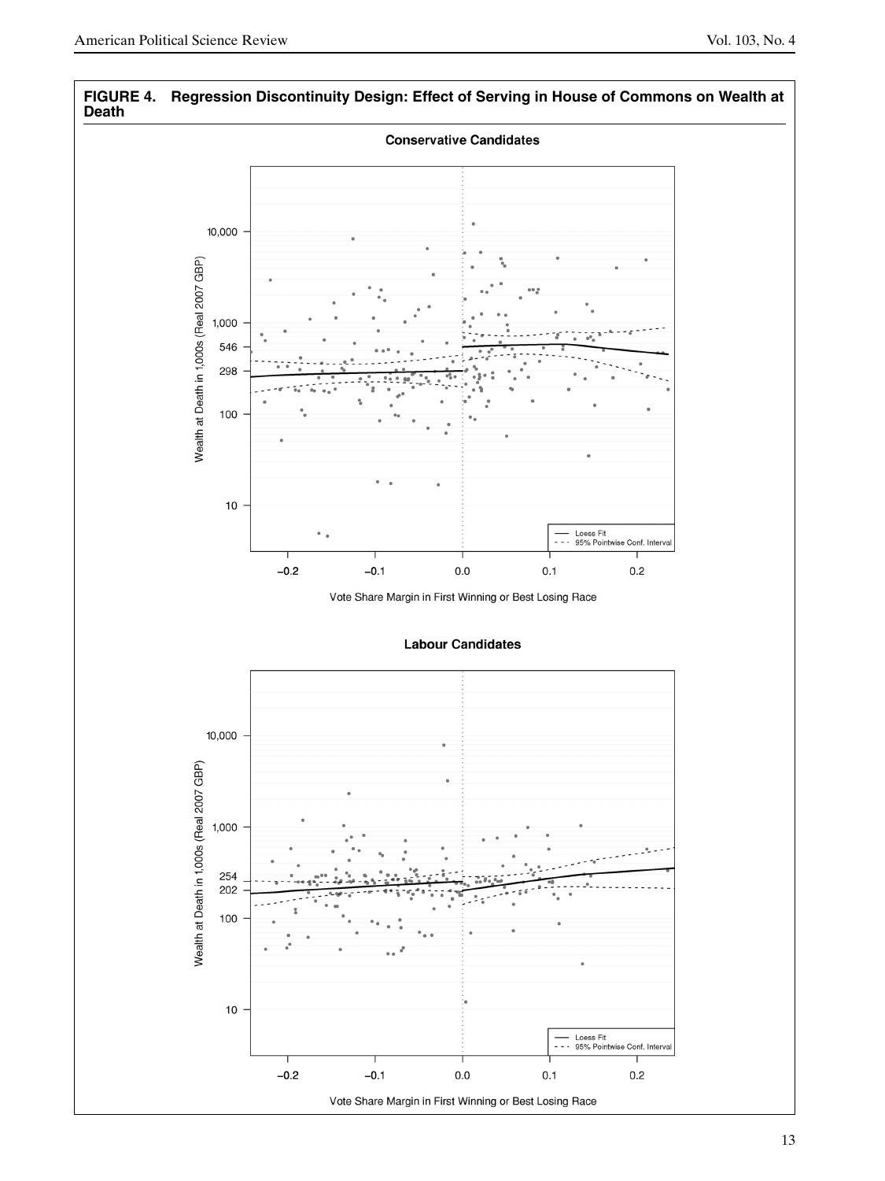

# **FIGURE 4. Regression Discontinuity Design: Effect of Serving in House of Commons on Wealth at**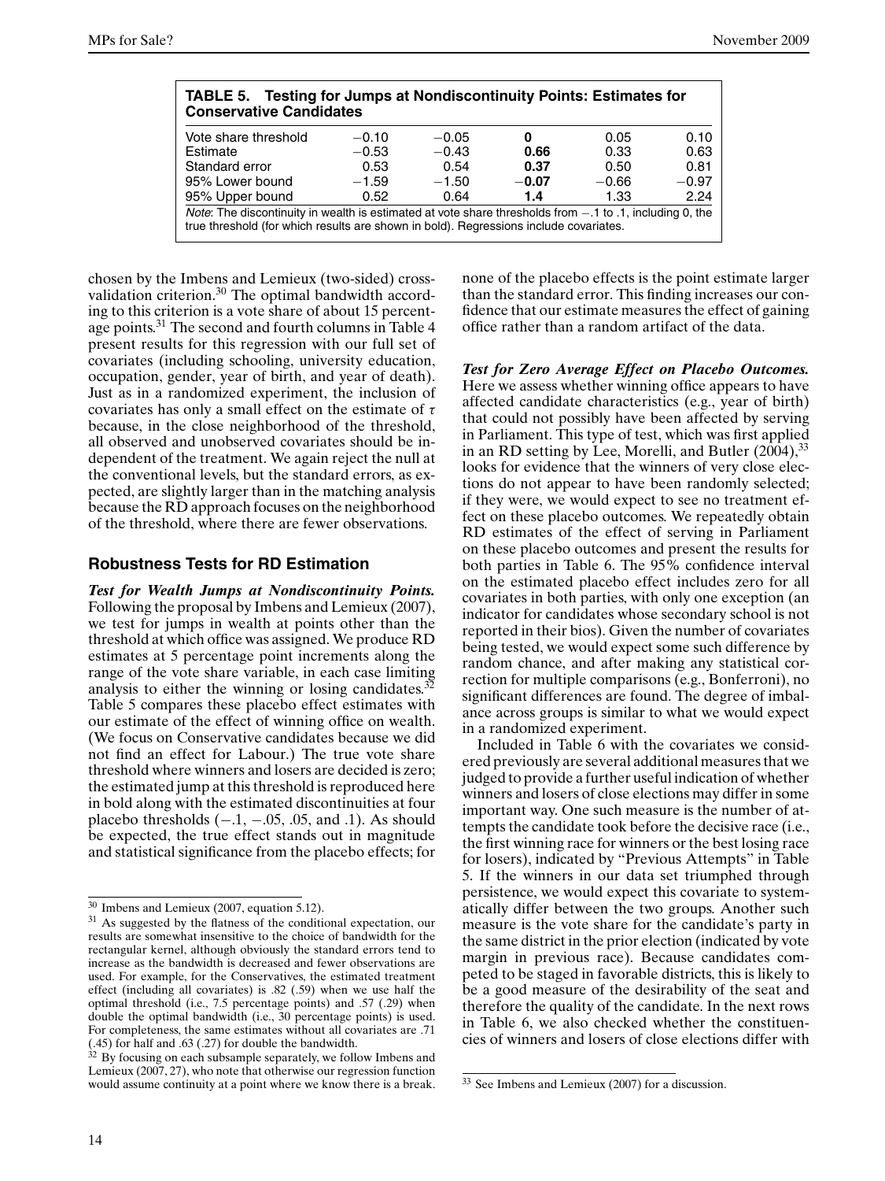| <b>TABLE 5. Testing for Jumps at Nondiscontinuity Points: Estimates for</b><br><b>Conservative Candidates</b>                                                                                                     |         |         |         |         |         |
|-------------------------------------------------------------------------------------------------------------------------------------------------------------------------------------------------------------------|---------|---------|---------|---------|---------|
| Vote share threshold                                                                                                                                                                                              | $-0.10$ | $-0.05$ | 0       | 0.05    | 0.10    |
| Estimate                                                                                                                                                                                                          | $-0.53$ | $-0.43$ | 0.66    | 0.33    | 0.63    |
| Standard error                                                                                                                                                                                                    | 0.53    | 0.54    | 0.37    | 0.50    | 0.81    |
| 95% Lower bound                                                                                                                                                                                                   | $-1.59$ | $-1.50$ | $-0.07$ | $-0.66$ | $-0.97$ |
| 95% Upper bound                                                                                                                                                                                                   | 0.52    | 0.64    | 1.4     | 1.33    | 2.24    |
| <i>Note</i> : The discontinuity in wealth is estimated at vote share thresholds from $-1$ to $\cdot$ 1, including 0, the<br>true threshold (for which results are shown in bold). Regressions include covariates. |         |         |         |         |         |

chosen by the Imbens and Lemieux (two-sided) crossvalidation criterion.<sup>30</sup> The optimal bandwidth according to this criterion is a vote share of about 15 percentage points.<sup>31</sup> The second and fourth columns in Table 4 present results for this regression with our full set of covariates (including schooling, university education, occupation, gender, year of birth, and year of death). Just as in a randomized experiment, the inclusion of covariates has only a small effect on the estimate of *τ* because, in the close neighborhood of the threshold, all observed and unobserved covariates should be independent of the treatment. We again reject the null at the conventional levels, but the standard errors, as expected, are slightly larger than in the matching analysis because the RD approach focuses on the neighborhood of the threshold, where there are fewer observations.

#### **Robustness Tests for RD Estimation**

*Test for Wealth Jumps at Nondiscontinuity Points.* Following the proposal by Imbens and Lemieux (2007), we test for jumps in wealth at points other than the threshold at which office was assigned. We produce RD estimates at 5 percentage point increments along the range of the vote share variable, in each case limiting analysis to either the winning or losing candidates. $32$ Table 5 compares these placebo effect estimates with our estimate of the effect of winning office on wealth. (We focus on Conservative candidates because we did not find an effect for Labour.) The true vote share threshold where winners and losers are decided is zero; the estimated jump at this threshold is reproduced here in bold along with the estimated discontinuities at four placebo thresholds  $(-.1, -.05, .05, \text{ and } .1)$ . As should be expected, the true effect stands out in magnitude and statistical significance from the placebo effects; for none of the placebo effects is the point estimate larger than the standard error. This finding increases our confidence that our estimate measures the effect of gaining office rather than a random artifact of the data.

*Test for Zero Average Effect on Placebo Outcomes.* Here we assess whether winning office appears to have affected candidate characteristics (e.g., year of birth) that could not possibly have been affected by serving in Parliament. This type of test, which was first applied in an RD setting by Lee, Morelli, and Butler  $(2004)$ ,  $33$ looks for evidence that the winners of very close elections do not appear to have been randomly selected; if they were, we would expect to see no treatment effect on these placebo outcomes. We repeatedly obtain RD estimates of the effect of serving in Parliament on these placebo outcomes and present the results for both parties in Table 6. The 95% confidence interval on the estimated placebo effect includes zero for all covariates in both parties, with only one exception (an indicator for candidates whose secondary school is not reported in their bios). Given the number of covariates being tested, we would expect some such difference by random chance, and after making any statistical correction for multiple comparisons (e.g., Bonferroni), no significant differences are found. The degree of imbalance across groups is similar to what we would expect in a randomized experiment.

Included in Table 6 with the covariates we considered previously are several additional measures that we judged to provide a further useful indication of whether winners and losers of close elections may differ in some important way. One such measure is the number of attempts the candidate took before the decisive race (i.e., the first winning race for winners or the best losing race for losers), indicated by "Previous Attempts" in Table 5. If the winners in our data set triumphed through persistence, we would expect this covariate to systematically differ between the two groups. Another such measure is the vote share for the candidate's party in the same district in the prior election (indicated by vote margin in previous race). Because candidates competed to be staged in favorable districts, this is likely to be a good measure of the desirability of the seat and therefore the quality of the candidate. In the next rows in Table 6, we also checked whether the constituencies of winners and losers of close elections differ with

<sup>30</sup> Imbens and Lemieux (2007, equation 5.12).

<sup>&</sup>lt;sup>31</sup> As suggested by the flatness of the conditional expectation, our results are somewhat insensitive to the choice of bandwidth for the rectangular kernel, although obviously the standard errors tend to increase as the bandwidth is decreased and fewer observations are used. For example, for the Conservatives, the estimated treatment effect (including all covariates) is *.*82 (*.*59) when we use half the optimal threshold (i.e., 7.5 percentage points) and *.*57 (*.*29) when double the optimal bandwidth (i.e., 30 percentage points) is used. For completeness, the same estimates without all covariates are *.*71 (*.*45) for half and *.*63 (*.*27) for double the bandwidth.

 $32$  By focusing on each subsample separately, we follow Imbens and Lemieux (2007, 27), who note that otherwise our regression function would assume continuity at a point where we know there is a break.

<sup>33</sup> See Imbens and Lemieux (2007) for a discussion.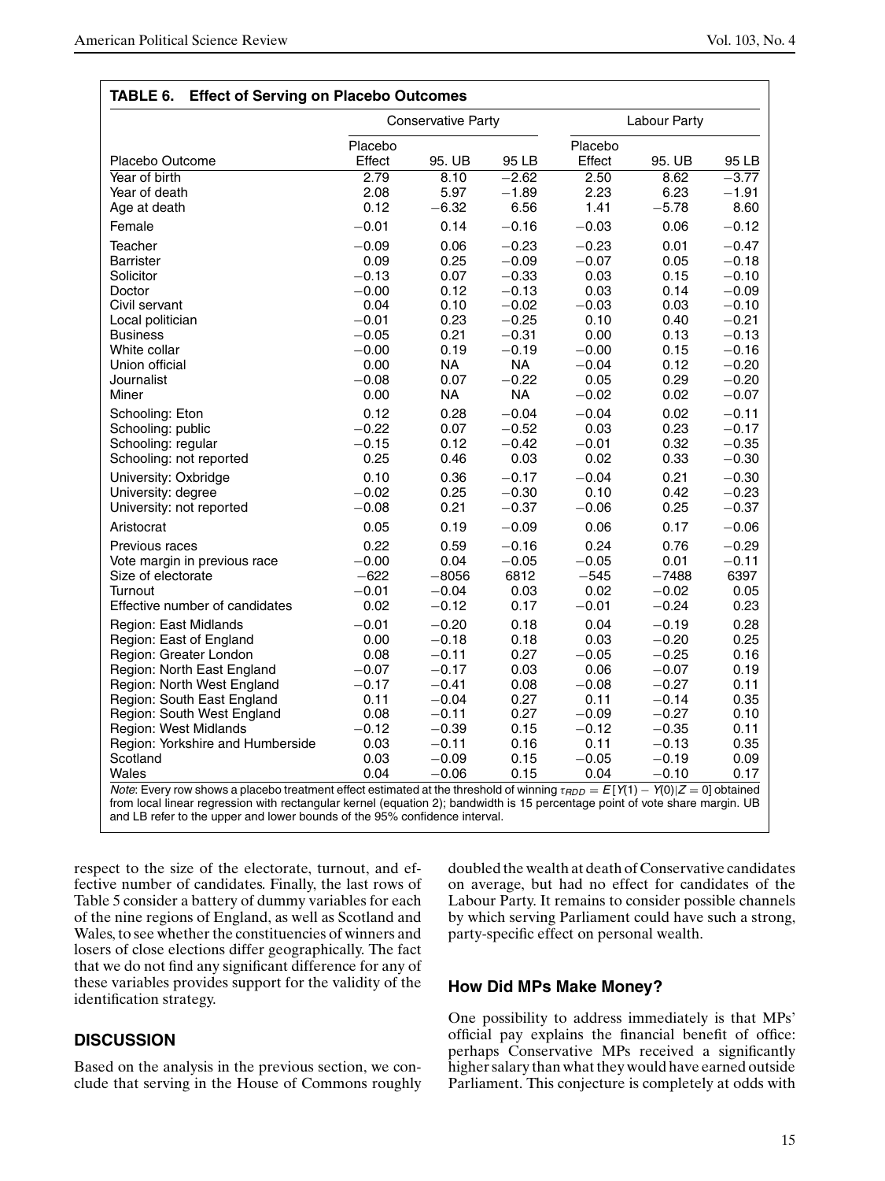| Placebo Outcome<br>Year of birth<br>Year of death<br>Age at death<br>Female<br>Teacher<br><b>Barrister</b><br>Solicitor<br>Doctor<br>Civil servant<br>Local politician<br><b>Business</b><br>White collar<br>Union official<br>Journalist<br>Miner<br>Schooling: Eton<br>Schooling: public<br>Schooling: regular<br>Schooling: not reported | Placebo<br>Effect<br>2.79<br>2.08<br>0.12<br>$-0.01$<br>$-0.09$<br>0.09<br>$-0.13$<br>$-0.00$<br>0.04<br>$-0.01$<br>$-0.05$<br>$-0.00$<br>0.00<br>$-0.08$<br>0.00 | 95. UB<br>8.10<br>5.97<br>$-6.32$<br>0.14<br>0.06<br>0.25<br>0.07<br>0.12<br>0.10<br>0.23<br>0.21<br>0.19<br>NA.<br>0.07 | 95 LB<br>$-2.62$<br>$-1.89$<br>6.56<br>$-0.16$<br>$-0.23$<br>$-0.09$<br>$-0.33$<br>$-0.13$<br>$-0.02$<br>$-0.25$<br>$-0.31$<br>$-0.19$<br>NA. | Placebo<br>Effect<br>2.50<br>2.23<br>1.41<br>$-0.03$<br>$-0.23$<br>$-0.07$<br>0.03<br>0.03<br>$-0.03$<br>0.10<br>0.00<br>$-0.00$ | 95. UB<br>8.62<br>6.23<br>$-5.78$<br>0.06<br>0.01<br>0.05<br>0.15<br>0.14<br>0.03<br>0.40<br>0.13 | 95 LB<br>$-3.77$<br>$-1.91$<br>8.60<br>$-0.12$<br>$-0.47$<br>$-0.18$<br>$-0.10$<br>$-0.09$<br>$-0.10$<br>$-0.21$ |
|---------------------------------------------------------------------------------------------------------------------------------------------------------------------------------------------------------------------------------------------------------------------------------------------------------------------------------------------|-------------------------------------------------------------------------------------------------------------------------------------------------------------------|--------------------------------------------------------------------------------------------------------------------------|-----------------------------------------------------------------------------------------------------------------------------------------------|----------------------------------------------------------------------------------------------------------------------------------|---------------------------------------------------------------------------------------------------|------------------------------------------------------------------------------------------------------------------|
|                                                                                                                                                                                                                                                                                                                                             |                                                                                                                                                                   |                                                                                                                          |                                                                                                                                               |                                                                                                                                  |                                                                                                   |                                                                                                                  |
|                                                                                                                                                                                                                                                                                                                                             |                                                                                                                                                                   |                                                                                                                          |                                                                                                                                               |                                                                                                                                  |                                                                                                   |                                                                                                                  |
|                                                                                                                                                                                                                                                                                                                                             |                                                                                                                                                                   |                                                                                                                          |                                                                                                                                               |                                                                                                                                  |                                                                                                   |                                                                                                                  |
|                                                                                                                                                                                                                                                                                                                                             |                                                                                                                                                                   |                                                                                                                          |                                                                                                                                               |                                                                                                                                  |                                                                                                   |                                                                                                                  |
|                                                                                                                                                                                                                                                                                                                                             |                                                                                                                                                                   |                                                                                                                          |                                                                                                                                               |                                                                                                                                  |                                                                                                   |                                                                                                                  |
|                                                                                                                                                                                                                                                                                                                                             |                                                                                                                                                                   |                                                                                                                          |                                                                                                                                               |                                                                                                                                  |                                                                                                   |                                                                                                                  |
|                                                                                                                                                                                                                                                                                                                                             |                                                                                                                                                                   |                                                                                                                          |                                                                                                                                               |                                                                                                                                  |                                                                                                   |                                                                                                                  |
|                                                                                                                                                                                                                                                                                                                                             |                                                                                                                                                                   |                                                                                                                          |                                                                                                                                               |                                                                                                                                  |                                                                                                   |                                                                                                                  |
|                                                                                                                                                                                                                                                                                                                                             |                                                                                                                                                                   |                                                                                                                          |                                                                                                                                               |                                                                                                                                  |                                                                                                   |                                                                                                                  |
|                                                                                                                                                                                                                                                                                                                                             |                                                                                                                                                                   |                                                                                                                          |                                                                                                                                               |                                                                                                                                  |                                                                                                   |                                                                                                                  |
|                                                                                                                                                                                                                                                                                                                                             |                                                                                                                                                                   |                                                                                                                          |                                                                                                                                               |                                                                                                                                  |                                                                                                   |                                                                                                                  |
|                                                                                                                                                                                                                                                                                                                                             |                                                                                                                                                                   |                                                                                                                          |                                                                                                                                               |                                                                                                                                  |                                                                                                   |                                                                                                                  |
|                                                                                                                                                                                                                                                                                                                                             |                                                                                                                                                                   |                                                                                                                          |                                                                                                                                               |                                                                                                                                  |                                                                                                   | $-0.13$                                                                                                          |
|                                                                                                                                                                                                                                                                                                                                             |                                                                                                                                                                   |                                                                                                                          |                                                                                                                                               |                                                                                                                                  | 0.15                                                                                              | $-0.16$                                                                                                          |
|                                                                                                                                                                                                                                                                                                                                             |                                                                                                                                                                   |                                                                                                                          |                                                                                                                                               | $-0.04$                                                                                                                          | 0.12                                                                                              | $-0.20$                                                                                                          |
|                                                                                                                                                                                                                                                                                                                                             |                                                                                                                                                                   |                                                                                                                          | $-0.22$                                                                                                                                       | 0.05                                                                                                                             | 0.29                                                                                              | $-0.20$                                                                                                          |
|                                                                                                                                                                                                                                                                                                                                             |                                                                                                                                                                   | NΑ                                                                                                                       | NΑ                                                                                                                                            | $-0.02$                                                                                                                          | 0.02                                                                                              | $-0.07$                                                                                                          |
|                                                                                                                                                                                                                                                                                                                                             | 0.12                                                                                                                                                              | 0.28                                                                                                                     | $-0.04$                                                                                                                                       | $-0.04$                                                                                                                          | 0.02                                                                                              | $-0.11$                                                                                                          |
|                                                                                                                                                                                                                                                                                                                                             | $-0.22$                                                                                                                                                           | 0.07                                                                                                                     | $-0.52$                                                                                                                                       | 0.03                                                                                                                             | 0.23                                                                                              | $-0.17$                                                                                                          |
|                                                                                                                                                                                                                                                                                                                                             | $-0.15$                                                                                                                                                           | 0.12                                                                                                                     | $-0.42$                                                                                                                                       | $-0.01$                                                                                                                          | 0.32                                                                                              | $-0.35$                                                                                                          |
|                                                                                                                                                                                                                                                                                                                                             | 0.25                                                                                                                                                              | 0.46                                                                                                                     | 0.03                                                                                                                                          | 0.02                                                                                                                             | 0.33                                                                                              | $-0.30$                                                                                                          |
| University: Oxbridge                                                                                                                                                                                                                                                                                                                        | 0.10                                                                                                                                                              | 0.36                                                                                                                     | $-0.17$                                                                                                                                       | $-0.04$                                                                                                                          | 0.21                                                                                              | $-0.30$                                                                                                          |
| University: degree                                                                                                                                                                                                                                                                                                                          | $-0.02$                                                                                                                                                           | 0.25                                                                                                                     | $-0.30$                                                                                                                                       | 0.10                                                                                                                             | 0.42                                                                                              | $-0.23$                                                                                                          |
| University: not reported                                                                                                                                                                                                                                                                                                                    | $-0.08$                                                                                                                                                           | 0.21                                                                                                                     | $-0.37$                                                                                                                                       | $-0.06$                                                                                                                          | 0.25                                                                                              | $-0.37$                                                                                                          |
| Aristocrat                                                                                                                                                                                                                                                                                                                                  | 0.05                                                                                                                                                              | 0.19                                                                                                                     | $-0.09$                                                                                                                                       | 0.06                                                                                                                             | 0.17                                                                                              | $-0.06$                                                                                                          |
| Previous races                                                                                                                                                                                                                                                                                                                              | 0.22                                                                                                                                                              | 0.59                                                                                                                     | $-0.16$                                                                                                                                       | 0.24                                                                                                                             | 0.76                                                                                              | $-0.29$                                                                                                          |
| Vote margin in previous race                                                                                                                                                                                                                                                                                                                | $-0.00$                                                                                                                                                           | 0.04                                                                                                                     | $-0.05$                                                                                                                                       | $-0.05$                                                                                                                          | 0.01                                                                                              | $-0.11$                                                                                                          |
| Size of electorate                                                                                                                                                                                                                                                                                                                          | $-622$                                                                                                                                                            | $-8056$                                                                                                                  | 6812                                                                                                                                          | $-545$                                                                                                                           | $-7488$                                                                                           | 6397                                                                                                             |
| Turnout                                                                                                                                                                                                                                                                                                                                     | $-0.01$                                                                                                                                                           | $-0.04$                                                                                                                  | 0.03                                                                                                                                          | 0.02                                                                                                                             | $-0.02$                                                                                           | 0.05                                                                                                             |
| Effective number of candidates                                                                                                                                                                                                                                                                                                              | 0.02                                                                                                                                                              | $-0.12$                                                                                                                  | 0.17                                                                                                                                          | $-0.01$                                                                                                                          | $-0.24$                                                                                           | 0.23                                                                                                             |
| Region: East Midlands                                                                                                                                                                                                                                                                                                                       | $-0.01$                                                                                                                                                           | $-0.20$                                                                                                                  | 0.18                                                                                                                                          | 0.04                                                                                                                             | $-0.19$                                                                                           | 0.28                                                                                                             |
| Region: East of England                                                                                                                                                                                                                                                                                                                     | 0.00                                                                                                                                                              | $-0.18$                                                                                                                  | 0.18                                                                                                                                          | 0.03                                                                                                                             | $-0.20$                                                                                           | 0.25                                                                                                             |
| Region: Greater London                                                                                                                                                                                                                                                                                                                      | 0.08                                                                                                                                                              | $-0.11$                                                                                                                  | 0.27                                                                                                                                          | $-0.05$                                                                                                                          | $-0.25$                                                                                           | 0.16                                                                                                             |
| Region: North East England                                                                                                                                                                                                                                                                                                                  | $-0.07$                                                                                                                                                           | $-0.17$                                                                                                                  | 0.03                                                                                                                                          | 0.06                                                                                                                             | $-0.07$                                                                                           | 0.19                                                                                                             |
| Region: North West England                                                                                                                                                                                                                                                                                                                  | $-0.17$                                                                                                                                                           | $-0.41$                                                                                                                  | 0.08                                                                                                                                          | $-0.08$                                                                                                                          | $-0.27$                                                                                           | 0.11                                                                                                             |
| Region: South East England                                                                                                                                                                                                                                                                                                                  | 0.11                                                                                                                                                              | $-0.04$                                                                                                                  | 0.27                                                                                                                                          | 0.11                                                                                                                             | $-0.14$                                                                                           | 0.35                                                                                                             |
| Region: South West England                                                                                                                                                                                                                                                                                                                  | 0.08                                                                                                                                                              | $-0.11$                                                                                                                  | 0.27                                                                                                                                          | $-0.09$                                                                                                                          | $-0.27$                                                                                           | 0.10                                                                                                             |
| Region: West Midlands                                                                                                                                                                                                                                                                                                                       | $-0.12$                                                                                                                                                           | $-0.39$                                                                                                                  | 0.15                                                                                                                                          | $-0.12$                                                                                                                          | $-0.35$                                                                                           | 0.11                                                                                                             |
| Region: Yorkshire and Humberside                                                                                                                                                                                                                                                                                                            | 0.03                                                                                                                                                              | $-0.11$                                                                                                                  | 0.16                                                                                                                                          | 0.11                                                                                                                             | $-0.13$                                                                                           | 0.35                                                                                                             |
| Scotland                                                                                                                                                                                                                                                                                                                                    | 0.03                                                                                                                                                              | $-0.09$                                                                                                                  | 0.15                                                                                                                                          | $-0.05$                                                                                                                          | $-0.19$                                                                                           | 0.09                                                                                                             |
| Wales                                                                                                                                                                                                                                                                                                                                       | 0.04                                                                                                                                                              | $-0.06$                                                                                                                  | 0.15                                                                                                                                          | 0.04                                                                                                                             | $-0.10$                                                                                           | 0.17                                                                                                             |
| Note: Every row shows a placebo treatment effect estimated at the threshold of winning $\tau_{FDD} = E[Y(1) - Y(0) Z = 0]$ obtained                                                                                                                                                                                                         |                                                                                                                                                                   |                                                                                                                          |                                                                                                                                               |                                                                                                                                  |                                                                                                   |                                                                                                                  |

respect to the size of the electorate, turnout, and effective number of candidates. Finally, the last rows of Table 5 consider a battery of dummy variables for each of the nine regions of England, as well as Scotland and Wales, to see whether the constituencies of winners and losers of close elections differ geographically. The fact that we do not find any significant difference for any of these variables provides support for the validity of the identification strategy.

# **DISCUSSION**

Based on the analysis in the previous section, we conclude that serving in the House of Commons roughly doubled the wealth at death of Conservative candidates on average, but had no effect for candidates of the Labour Party. It remains to consider possible channels by which serving Parliament could have such a strong, party-specific effect on personal wealth.

#### **How Did MPs Make Money?**

One possibility to address immediately is that MPs' official pay explains the financial benefit of office: perhaps Conservative MPs received a significantly higher salary than what they would have earned outside Parliament. This conjecture is completely at odds with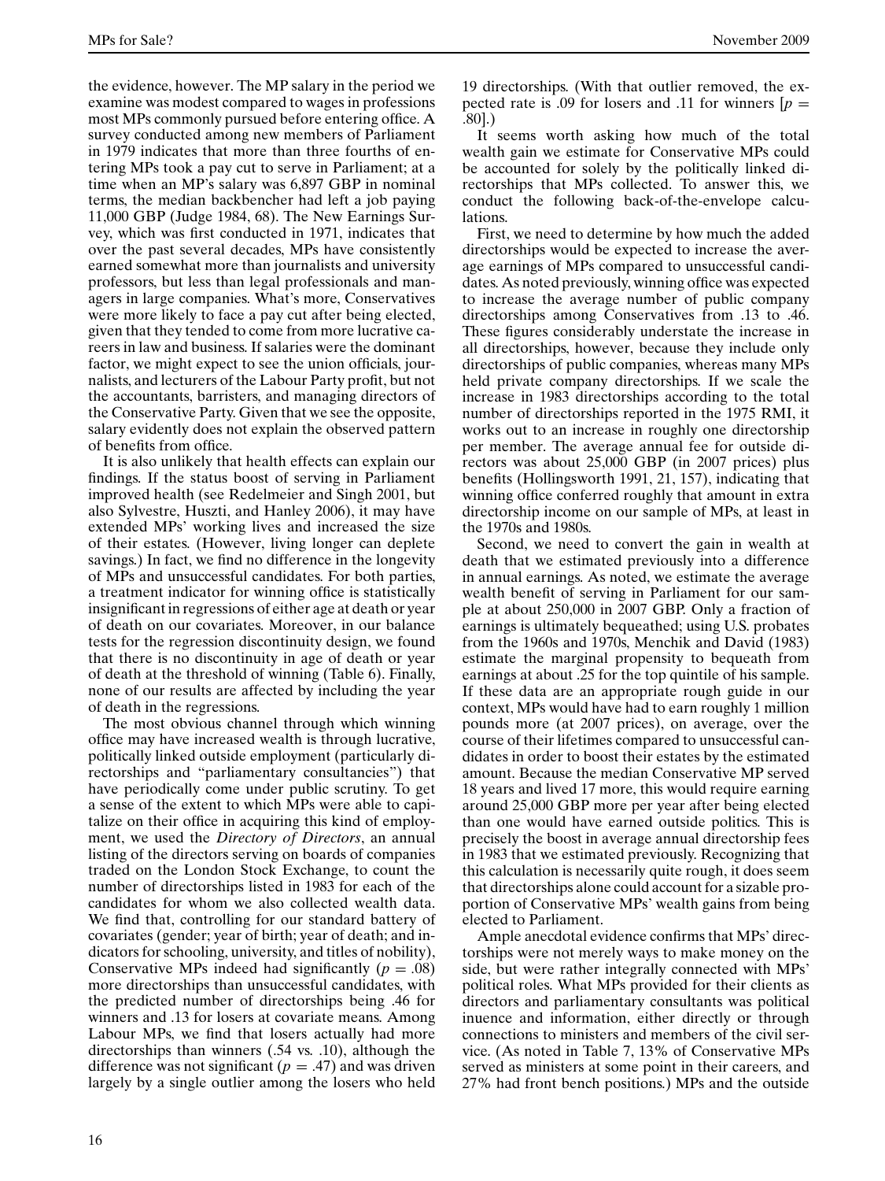the evidence, however. The MP salary in the period we examine was modest compared to wages in professions most MPs commonly pursued before entering office. A survey conducted among new members of Parliament in 1979 indicates that more than three fourths of entering MPs took a pay cut to serve in Parliament; at a time when an MP's salary was 6,897 GBP in nominal terms, the median backbencher had left a job paying 11,000 GBP (Judge 1984, 68). The New Earnings Survey, which was first conducted in 1971, indicates that over the past several decades, MPs have consistently earned somewhat more than journalists and university professors, but less than legal professionals and managers in large companies. What's more, Conservatives were more likely to face a pay cut after being elected, given that they tended to come from more lucrative careers in law and business. If salaries were the dominant factor, we might expect to see the union officials, journalists, and lecturers of the Labour Party profit, but not the accountants, barristers, and managing directors of the Conservative Party. Given that we see the opposite, salary evidently does not explain the observed pattern of benefits from office.

It is also unlikely that health effects can explain our findings. If the status boost of serving in Parliament improved health (see Redelmeier and Singh 2001, but also Sylvestre, Huszti, and Hanley 2006), it may have extended MPs' working lives and increased the size of their estates. (However, living longer can deplete savings.) In fact, we find no difference in the longevity of MPs and unsuccessful candidates. For both parties, a treatment indicator for winning office is statistically insignificant in regressions of either age at death or year of death on our covariates. Moreover, in our balance tests for the regression discontinuity design, we found that there is no discontinuity in age of death or year of death at the threshold of winning (Table 6). Finally, none of our results are affected by including the year of death in the regressions.

The most obvious channel through which winning office may have increased wealth is through lucrative, politically linked outside employment (particularly directorships and "parliamentary consultancies") that have periodically come under public scrutiny. To get a sense of the extent to which MPs were able to capitalize on their office in acquiring this kind of employment, we used the *Directory of Directors*, an annual listing of the directors serving on boards of companies traded on the London Stock Exchange, to count the number of directorships listed in 1983 for each of the candidates for whom we also collected wealth data. We find that, controlling for our standard battery of covariates (gender; year of birth; year of death; and indicators for schooling, university, and titles of nobility), Conservative MPs indeed had significantly  $(p = .08)$ more directorships than unsuccessful candidates, with the predicted number of directorships being .46 for winners and .13 for losers at covariate means. Among Labour MPs, we find that losers actually had more directorships than winners (.54 vs. .10), although the difference was not significant  $(p = .47)$  and was driven largely by a single outlier among the losers who held

19 directorships. (With that outlier removed, the expected rate is .09 for losers and .11 for winners  $[p =$ *.*80].)

It seems worth asking how much of the total wealth gain we estimate for Conservative MPs could be accounted for solely by the politically linked directorships that MPs collected. To answer this, we conduct the following back-of-the-envelope calculations.

First, we need to determine by how much the added directorships would be expected to increase the average earnings of MPs compared to unsuccessful candidates. As noted previously, winning office was expected to increase the average number of public company directorships among Conservatives from .13 to .46. These figures considerably understate the increase in all directorships, however, because they include only directorships of public companies, whereas many MPs held private company directorships. If we scale the increase in 1983 directorships according to the total number of directorships reported in the 1975 RMI, it works out to an increase in roughly one directorship per member. The average annual fee for outside directors was about 25,000 GBP (in 2007 prices) plus benefits (Hollingsworth 1991, 21, 157), indicating that winning office conferred roughly that amount in extra directorship income on our sample of MPs, at least in the 1970s and 1980s.

Second, we need to convert the gain in wealth at death that we estimated previously into a difference in annual earnings. As noted, we estimate the average wealth benefit of serving in Parliament for our sample at about 250,000 in 2007 GBP. Only a fraction of earnings is ultimately bequeathed; using U.S. probates from the 1960s and 1970s, Menchik and David (1983) estimate the marginal propensity to bequeath from earnings at about .25 for the top quintile of his sample. If these data are an appropriate rough guide in our context, MPs would have had to earn roughly 1 million pounds more (at 2007 prices), on average, over the course of their lifetimes compared to unsuccessful candidates in order to boost their estates by the estimated amount. Because the median Conservative MP served 18 years and lived 17 more, this would require earning around 25,000 GBP more per year after being elected than one would have earned outside politics. This is precisely the boost in average annual directorship fees in 1983 that we estimated previously. Recognizing that this calculation is necessarily quite rough, it does seem that directorships alone could account for a sizable proportion of Conservative MPs' wealth gains from being elected to Parliament.

Ample anecdotal evidence confirms that MPs' directorships were not merely ways to make money on the side, but were rather integrally connected with MPs' political roles. What MPs provided for their clients as directors and parliamentary consultants was political inuence and information, either directly or through connections to ministers and members of the civil service. (As noted in Table 7, 13% of Conservative MPs served as ministers at some point in their careers, and 27% had front bench positions.) MPs and the outside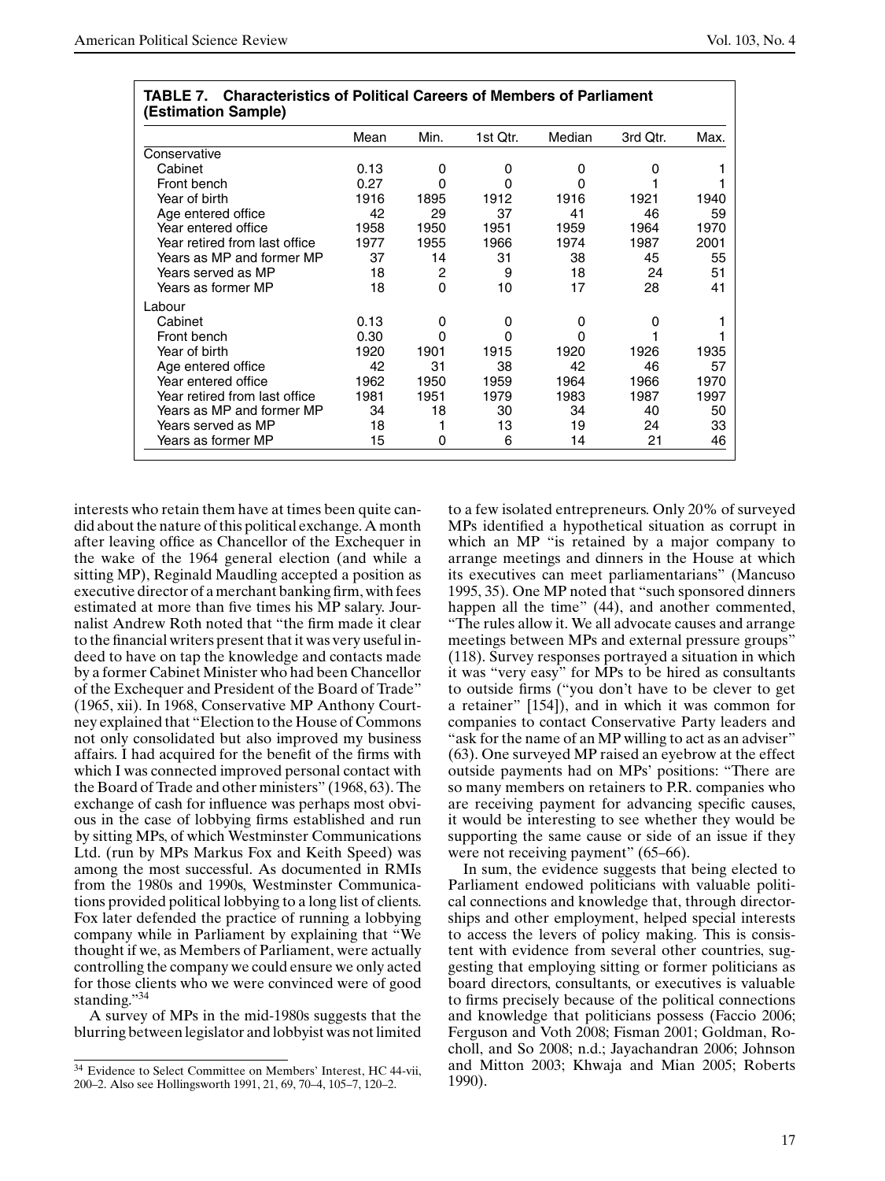|                               | Mean | Min. | 1st Qtr. | Median | 3rd Qtr. | Max. |
|-------------------------------|------|------|----------|--------|----------|------|
| Conservative                  |      |      |          |        |          |      |
| Cabinet                       | 0.13 | 0    | 0        | 0      | 0        |      |
| Front bench                   | 0.27 | 0    | 0        |        |          |      |
| Year of birth                 | 1916 | 1895 | 1912     | 1916   | 1921     | 1940 |
| Age entered office            | 42   | 29   | 37       | 41     | 46       | 59   |
| Year entered office           | 1958 | 1950 | 1951     | 1959   | 1964     | 1970 |
| Year retired from last office | 1977 | 1955 | 1966     | 1974   | 1987     | 2001 |
| Years as MP and former MP     | 37   | 14   | 31       | 38     | 45       | 55   |
| Years served as MP            | 18   | 2    | 9        | 18     | 24       | 51   |
| Years as former MP            | 18   | 0    | 10       | 17     | 28       | 41   |
| Labour                        |      |      |          |        |          |      |
| Cabinet                       | 0.13 | 0    | 0        | 0      | 0        |      |
| Front bench                   | 0.30 | 0    | 0        |        |          |      |
| Year of birth                 | 1920 | 1901 | 1915     | 1920   | 1926     | 1935 |
| Age entered office            | 42   | 31   | 38       | 42     | 46       | 57   |
| Year entered office           | 1962 | 1950 | 1959     | 1964   | 1966     | 1970 |
| Year retired from last office | 1981 | 1951 | 1979     | 1983   | 1987     | 1997 |
| Years as MP and former MP     | 34   | 18   | 30       | 34     | 40       | 50   |
| Years served as MP            | 18   |      | 13       | 19     | 24       | 33   |
| Years as former MP            | 15   | 0    | 6        | 14     | 21       | 46   |

|                     | <b>TABLE 7. Characteristics of Political Careers of Members of Parliament</b> |
|---------------------|-------------------------------------------------------------------------------|
| (Estimation Sample) |                                                                               |

interests who retain them have at times been quite candid about the nature of this political exchange. A month after leaving office as Chancellor of the Exchequer in the wake of the 1964 general election (and while a sitting MP), Reginald Maudling accepted a position as executive director of a merchant banking firm, with fees estimated at more than five times his MP salary. Journalist Andrew Roth noted that "the firm made it clear to the financial writers present that it was very useful indeed to have on tap the knowledge and contacts made by a former Cabinet Minister who had been Chancellor of the Exchequer and President of the Board of Trade" (1965, xii). In 1968, Conservative MP Anthony Courtney explained that "Election to the House of Commons not only consolidated but also improved my business affairs. I had acquired for the benefit of the firms with which I was connected improved personal contact with the Board of Trade and other ministers" (1968, 63). The exchange of cash for influence was perhaps most obvious in the case of lobbying firms established and run by sitting MPs, of which Westminster Communications Ltd. (run by MPs Markus Fox and Keith Speed) was among the most successful. As documented in RMIs from the 1980s and 1990s, Westminster Communications provided political lobbying to a long list of clients. Fox later defended the practice of running a lobbying company while in Parliament by explaining that "We thought if we, as Members of Parliament, were actually controlling the company we could ensure we only acted for those clients who we were convinced were of good standing."34

A survey of MPs in the mid-1980s suggests that the blurring between legislator and lobbyist was not limited to a few isolated entrepreneurs. Only 20% of surveyed MPs identified a hypothetical situation as corrupt in which an MP "is retained by a major company to arrange meetings and dinners in the House at which its executives can meet parliamentarians" (Mancuso 1995, 35). One MP noted that "such sponsored dinners happen all the time" (44), and another commented, "The rules allow it. We all advocate causes and arrange meetings between MPs and external pressure groups" (118). Survey responses portrayed a situation in which it was "very easy" for MPs to be hired as consultants to outside firms ("you don't have to be clever to get a retainer" [154]), and in which it was common for companies to contact Conservative Party leaders and "ask for the name of an MP willing to act as an adviser" (63). One surveyed MP raised an eyebrow at the effect outside payments had on MPs' positions: "There are so many members on retainers to P.R. companies who are receiving payment for advancing specific causes, it would be interesting to see whether they would be supporting the same cause or side of an issue if they were not receiving payment" (65–66).

In sum, the evidence suggests that being elected to Parliament endowed politicians with valuable political connections and knowledge that, through directorships and other employment, helped special interests to access the levers of policy making. This is consistent with evidence from several other countries, suggesting that employing sitting or former politicians as board directors, consultants, or executives is valuable to firms precisely because of the political connections and knowledge that politicians possess (Faccio 2006; Ferguson and Voth 2008; Fisman 2001; Goldman, Rocholl, and So 2008; n.d.; Jayachandran 2006; Johnson and Mitton 2003; Khwaja and Mian 2005; Roberts 1990).

<sup>&</sup>lt;sup>34</sup> Evidence to Select Committee on Members' Interest, HC 44-vii, 200–2. Also see Hollingsworth 1991, 21, 69, 70–4, 105–7, 120–2.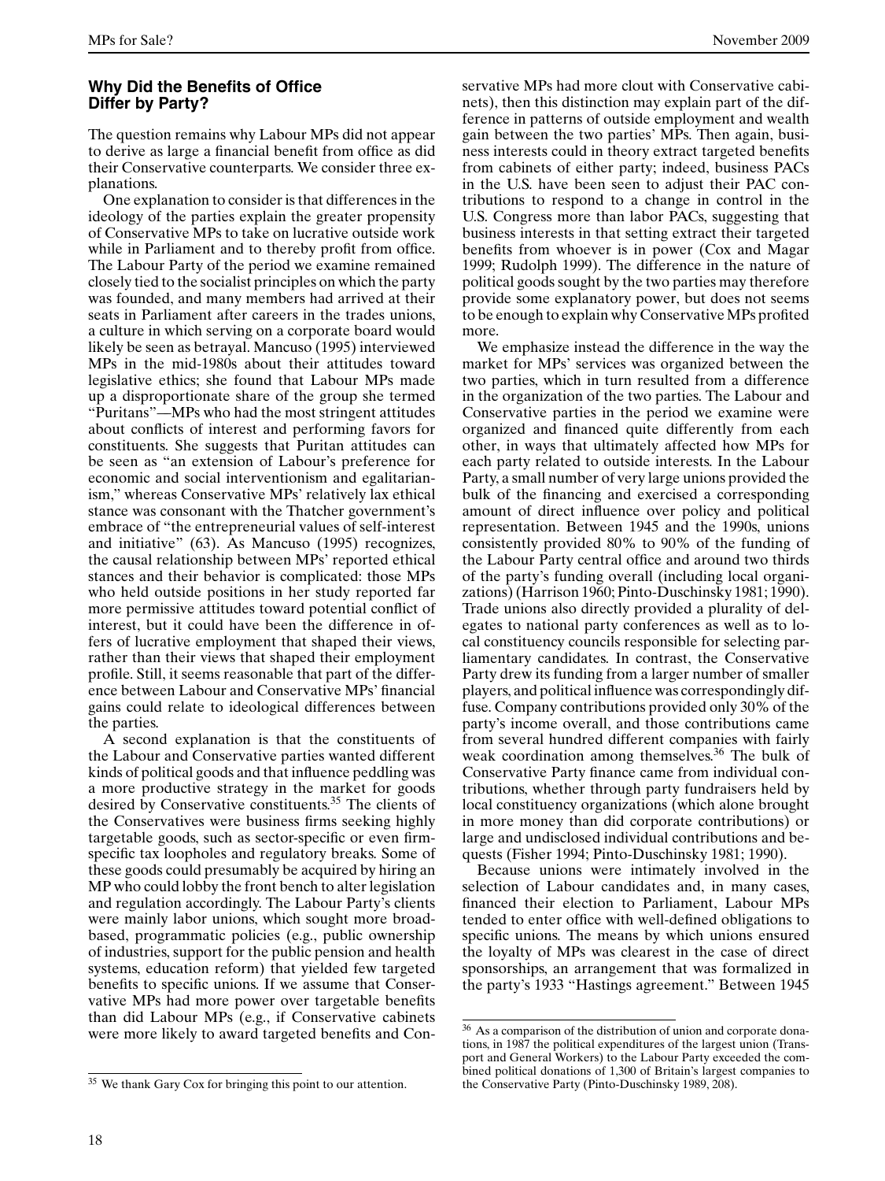# **Why Did the Benefits of Office Differ by Party?**

The question remains why Labour MPs did not appear to derive as large a financial benefit from office as did their Conservative counterparts. We consider three explanations.

One explanation to consider is that differences in the ideology of the parties explain the greater propensity of Conservative MPs to take on lucrative outside work while in Parliament and to thereby profit from office. The Labour Party of the period we examine remained closely tied to the socialist principles on which the party was founded, and many members had arrived at their seats in Parliament after careers in the trades unions, a culture in which serving on a corporate board would likely be seen as betrayal. Mancuso (1995) interviewed MPs in the mid-1980s about their attitudes toward legislative ethics; she found that Labour MPs made up a disproportionate share of the group she termed "Puritans"—–MPs who had the most stringent attitudes about conflicts of interest and performing favors for constituents. She suggests that Puritan attitudes can be seen as "an extension of Labour's preference for economic and social interventionism and egalitarianism," whereas Conservative MPs' relatively lax ethical stance was consonant with the Thatcher government's embrace of "the entrepreneurial values of self-interest and initiative" (63). As Mancuso (1995) recognizes, the causal relationship between MPs' reported ethical stances and their behavior is complicated: those MPs who held outside positions in her study reported far more permissive attitudes toward potential conflict of interest, but it could have been the difference in offers of lucrative employment that shaped their views, rather than their views that shaped their employment profile. Still, it seems reasonable that part of the difference between Labour and Conservative MPs' financial gains could relate to ideological differences between the parties.

A second explanation is that the constituents of the Labour and Conservative parties wanted different kinds of political goods and that influence peddling was a more productive strategy in the market for goods desired by Conservative constituents.<sup>35</sup> The clients of the Conservatives were business firms seeking highly targetable goods, such as sector-specific or even firmspecific tax loopholes and regulatory breaks. Some of these goods could presumably be acquired by hiring an MP who could lobby the front bench to alter legislation and regulation accordingly. The Labour Party's clients were mainly labor unions, which sought more broadbased, programmatic policies (e.g., public ownership of industries, support for the public pension and health systems, education reform) that yielded few targeted benefits to specific unions. If we assume that Conservative MPs had more power over targetable benefits than did Labour MPs (e.g., if Conservative cabinets were more likely to award targeted benefits and Conservative MPs had more clout with Conservative cabinets), then this distinction may explain part of the difference in patterns of outside employment and wealth gain between the two parties' MPs. Then again, business interests could in theory extract targeted benefits from cabinets of either party; indeed, business PACs in the U.S. have been seen to adjust their PAC contributions to respond to a change in control in the U.S. Congress more than labor PACs, suggesting that business interests in that setting extract their targeted benefits from whoever is in power (Cox and Magar 1999; Rudolph 1999). The difference in the nature of political goods sought by the two parties may therefore provide some explanatory power, but does not seems to be enough to explain why Conservative MPs profited more.

We emphasize instead the difference in the way the market for MPs' services was organized between the two parties, which in turn resulted from a difference in the organization of the two parties. The Labour and Conservative parties in the period we examine were organized and financed quite differently from each other, in ways that ultimately affected how MPs for each party related to outside interests. In the Labour Party, a small number of very large unions provided the bulk of the financing and exercised a corresponding amount of direct influence over policy and political representation. Between 1945 and the 1990s, unions consistently provided 80% to 90% of the funding of the Labour Party central office and around two thirds of the party's funding overall (including local organizations) (Harrison 1960; Pinto-Duschinsky 1981; 1990). Trade unions also directly provided a plurality of delegates to national party conferences as well as to local constituency councils responsible for selecting parliamentary candidates. In contrast, the Conservative Party drew its funding from a larger number of smaller players, and political influence was correspondingly diffuse. Company contributions provided only 30% of the party's income overall, and those contributions came from several hundred different companies with fairly weak coordination among themselves.<sup>36</sup> The bulk of Conservative Party finance came from individual contributions, whether through party fundraisers held by local constituency organizations (which alone brought in more money than did corporate contributions) or large and undisclosed individual contributions and bequests (Fisher 1994; Pinto-Duschinsky 1981; 1990).

Because unions were intimately involved in the selection of Labour candidates and, in many cases, financed their election to Parliament, Labour MPs tended to enter office with well-defined obligations to specific unions. The means by which unions ensured the loyalty of MPs was clearest in the case of direct sponsorships, an arrangement that was formalized in the party's 1933 "Hastings agreement." Between 1945

<sup>35</sup> We thank Gary Cox for bringing this point to our attention.

As a comparison of the distribution of union and corporate donations, in 1987 the political expenditures of the largest union (Transport and General Workers) to the Labour Party exceeded the combined political donations of 1,300 of Britain's largest companies to the Conservative Party (Pinto-Duschinsky 1989, 208).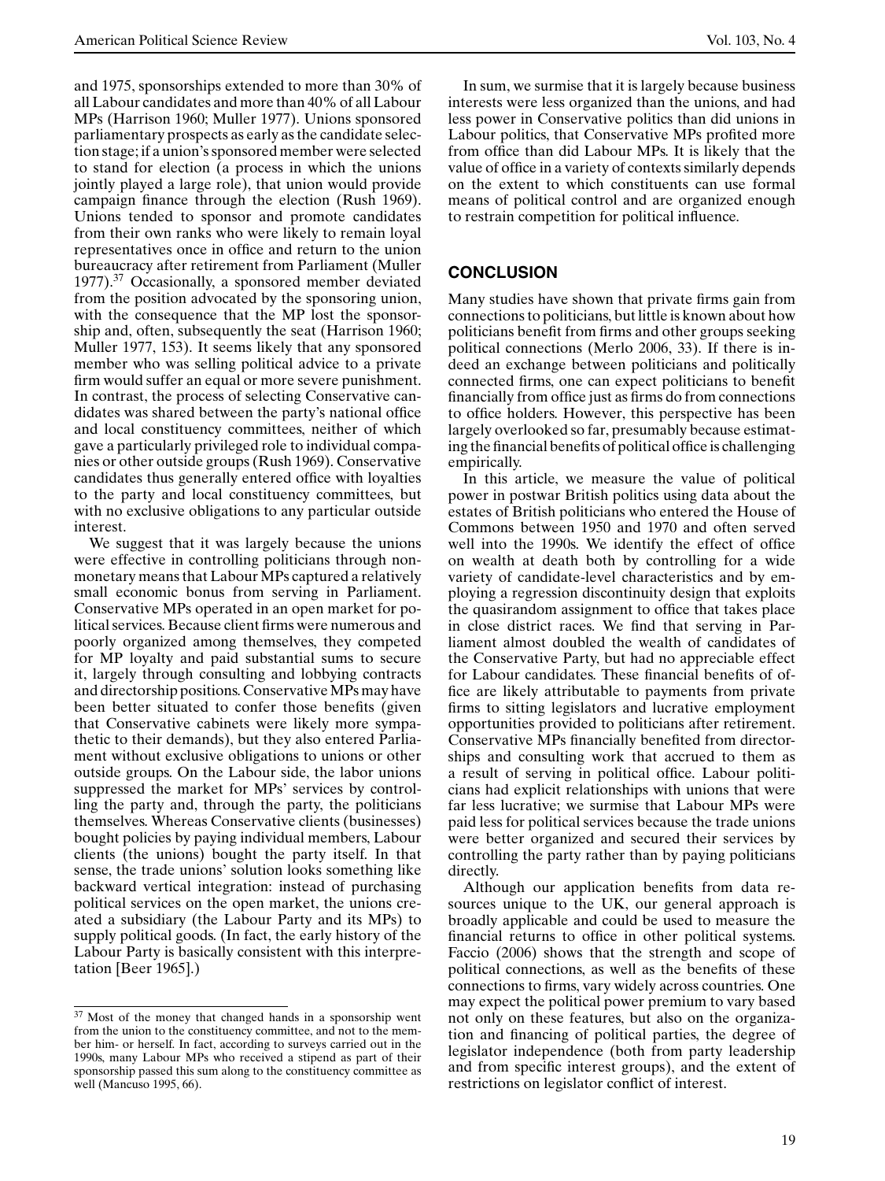and 1975, sponsorships extended to more than 30% of all Labour candidates and more than 40% of all Labour MPs (Harrison 1960; Muller 1977). Unions sponsored parliamentary prospects as early as the candidate selection stage; if a union's sponsored member were selected to stand for election (a process in which the unions jointly played a large role), that union would provide campaign finance through the election (Rush 1969). Unions tended to sponsor and promote candidates from their own ranks who were likely to remain loyal representatives once in office and return to the union bureaucracy after retirement from Parliament (Muller  $1977$ ).<sup>37</sup> Occasionally, a sponsored member deviated from the position advocated by the sponsoring union, with the consequence that the MP lost the sponsorship and, often, subsequently the seat (Harrison 1960; Muller 1977, 153). It seems likely that any sponsored member who was selling political advice to a private firm would suffer an equal or more severe punishment. In contrast, the process of selecting Conservative candidates was shared between the party's national office and local constituency committees, neither of which gave a particularly privileged role to individual companies or other outside groups (Rush 1969). Conservative candidates thus generally entered office with loyalties to the party and local constituency committees, but with no exclusive obligations to any particular outside interest.

We suggest that it was largely because the unions were effective in controlling politicians through nonmonetary means that Labour MPs captured a relatively small economic bonus from serving in Parliament. Conservative MPs operated in an open market for political services. Because client firms were numerous and poorly organized among themselves, they competed for MP loyalty and paid substantial sums to secure it, largely through consulting and lobbying contracts and directorship positions. Conservative MPs may have been better situated to confer those benefits (given that Conservative cabinets were likely more sympathetic to their demands), but they also entered Parliament without exclusive obligations to unions or other outside groups. On the Labour side, the labor unions suppressed the market for MPs' services by controlling the party and, through the party, the politicians themselves. Whereas Conservative clients (businesses) bought policies by paying individual members, Labour clients (the unions) bought the party itself. In that sense, the trade unions' solution looks something like backward vertical integration: instead of purchasing political services on the open market, the unions created a subsidiary (the Labour Party and its MPs) to supply political goods. (In fact, the early history of the Labour Party is basically consistent with this interpretation [Beer 1965].)

In sum, we surmise that it is largely because business interests were less organized than the unions, and had less power in Conservative politics than did unions in Labour politics, that Conservative MPs profited more from office than did Labour MPs. It is likely that the value of office in a variety of contexts similarly depends on the extent to which constituents can use formal means of political control and are organized enough to restrain competition for political influence.

# **CONCLUSION**

Many studies have shown that private firms gain from connections to politicians, but little is known about how politicians benefit from firms and other groups seeking political connections (Merlo 2006, 33). If there is indeed an exchange between politicians and politically connected firms, one can expect politicians to benefit financially from office just as firms do from connections to office holders. However, this perspective has been largely overlooked so far, presumably because estimating the financial benefits of political office is challenging empirically.

In this article, we measure the value of political power in postwar British politics using data about the estates of British politicians who entered the House of Commons between 1950 and 1970 and often served well into the 1990s. We identify the effect of office on wealth at death both by controlling for a wide variety of candidate-level characteristics and by employing a regression discontinuity design that exploits the quasirandom assignment to office that takes place in close district races. We find that serving in Parliament almost doubled the wealth of candidates of the Conservative Party, but had no appreciable effect for Labour candidates. These financial benefits of office are likely attributable to payments from private firms to sitting legislators and lucrative employment opportunities provided to politicians after retirement. Conservative MPs financially benefited from directorships and consulting work that accrued to them as a result of serving in political office. Labour politicians had explicit relationships with unions that were far less lucrative; we surmise that Labour MPs were paid less for political services because the trade unions were better organized and secured their services by controlling the party rather than by paying politicians directly.

Although our application benefits from data resources unique to the UK, our general approach is broadly applicable and could be used to measure the financial returns to office in other political systems. Faccio (2006) shows that the strength and scope of political connections, as well as the benefits of these connections to firms, vary widely across countries. One may expect the political power premium to vary based not only on these features, but also on the organization and financing of political parties, the degree of legislator independence (both from party leadership and from specific interest groups), and the extent of restrictions on legislator conflict of interest.

<sup>&</sup>lt;sup>37</sup> Most of the money that changed hands in a sponsorship went from the union to the constituency committee, and not to the member him- or herself. In fact, according to surveys carried out in the 1990s, many Labour MPs who received a stipend as part of their sponsorship passed this sum along to the constituency committee as well (Mancuso 1995, 66).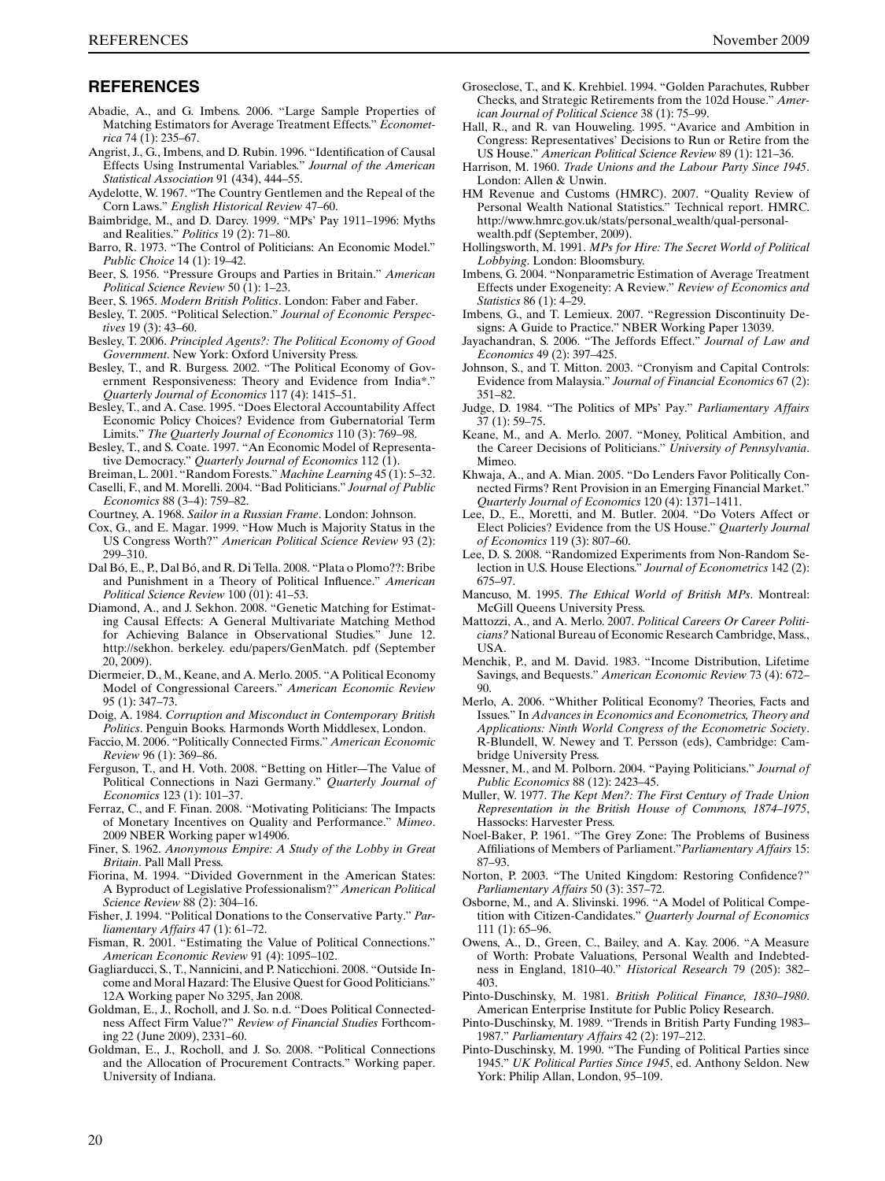#### **REFERENCES**

- Abadie, A., and G. Imbens. 2006. "Large Sample Properties of Matching Estimators for Average Treatment Effects." *Econometrica* 74 (1): 235–67.
- Angrist, J., G., Imbens, and D. Rubin. 1996. "Identification of Causal Effects Using Instrumental Variables." *Journal of the American Statistical Association* 91 (434), 444–55.
- Aydelotte, W. 1967. "The Country Gentlemen and the Repeal of the Corn Laws." *English Historical Review* 47–60.
- Baimbridge, M., and D. Darcy. 1999. "MPs' Pay 1911–1996: Myths and Realities." *Politics* 19 (2): 71–80.
- Barro, R. 1973. "The Control of Politicians: An Economic Model." *Public Choice* 14 (1): 19–42.
- Beer, S. 1956. "Pressure Groups and Parties in Britain." *American Political Science Review* 50 (1): 1–23.
- Beer, S. 1965. *Modern British Politics*. London: Faber and Faber.
- Besley, T. 2005. "Political Selection." *Journal of Economic Perspectives* 19 (3): 43–60.
- Besley, T. 2006. *Principled Agents?: The Political Economy of Good Government*. New York: Oxford University Press.
- Besley, T., and R. Burgess. 2002. "The Political Economy of Government Responsiveness: Theory and Evidence from India\*." *Quarterly Journal of Economics* 117 (4): 1415–51.
- Besley, T., and A. Case. 1995. "Does Electoral Accountability Affect Economic Policy Choices? Evidence from Gubernatorial Term Limits." *The Quarterly Journal of Economics* 110 (3): 769–98.
- Besley, T., and S. Coate. 1997. "An Economic Model of Representative Democracy." *Quarterly Journal of Economics* 112 (1).
- Breiman, L. 2001. "Random Forests." *Machine Learning* 45 (1): 5–32.
- Caselli, F., and M. Morelli. 2004. "Bad Politicians." *Journal of Public Economics* 88 (3–4): 759–82.
- Courtney, A. 1968. *Sailor in a Russian Frame*. London: Johnson.
- Cox, G., and E. Magar. 1999. "How Much is Majority Status in the US Congress Worth?" *American Political Science Review* 93 (2): 299–310.
- Dal Bó, E., P., Dal Bó, and R. Di Tella. 2008. "Plata o Plomo??: Bribe and Punishment in a Theory of Political Influence." *American Political Science Review* 100 (01): 41–53.
- Diamond, A., and J. Sekhon. 2008. "Genetic Matching for Estimating Causal Effects: A General Multivariate Matching Method for Achieving Balance in Observational Studies." June 12. http://sekhon. berkeley. edu/papers/GenMatch. pdf (September 20, 2009).
- Diermeier, D., M., Keane, and A. Merlo. 2005. "A Political Economy Model of Congressional Careers." *American Economic Review* 95 (1): 347–73.
- Doig, A. 1984. *Corruption and Misconduct in Contemporary British Politics*. Penguin Books. Harmonds Worth Middlesex, London.
- Faccio, M. 2006. "Politically Connected Firms." *American Economic Review* 96 (1): 369–86.
- Ferguson, T., and H. Voth. 2008. "Betting on Hitler—–The Value of Political Connections in Nazi Germany." *Quarterly Journal of Economics* 123 (1): 101–37.
- Ferraz, C., and F. Finan. 2008. "Motivating Politicians: The Impacts of Monetary Incentives on Quality and Performance." *Mimeo*. 2009 NBER Working paper w14906.
- Finer, S. 1962. *Anonymous Empire: A Study of the Lobby in Great Britain*. Pall Mall Press.
- Fiorina, M. 1994. "Divided Government in the American States: A Byproduct of Legislative Professionalism?" *American Political Science Review* 88 (2): 304–16.
- Fisher, J. 1994. "Political Donations to the Conservative Party." *Parliamentary Affairs* 47 (1): 61–72.
- Fisman, R. 2001. "Estimating the Value of Political Connections." *American Economic Review* 91 (4): 1095–102.
- Gagliarducci, S., T., Nannicini, and P. Naticchioni. 2008. "Outside Income and Moral Hazard: The Elusive Quest for Good Politicians." 12A Working paper No 3295, Jan 2008.
- Goldman, E., J., Rocholl, and J. So. n.d. "Does Political Connectedness Affect Firm Value?" *Review of Financial Studies* Forthcoming 22 (June 2009), 2331–60.
- Goldman, E., J., Rocholl, and J. So. 2008. "Political Connections and the Allocation of Procurement Contracts." Working paper. University of Indiana.
- Groseclose, T., and K. Krehbiel. 1994. "Golden Parachutes, Rubber Checks, and Strategic Retirements from the 102d House." *American Journal of Political Science* 38 (1): 75–99.
- Hall, R., and R. van Houweling. 1995. "Avarice and Ambition in Congress: Representatives' Decisions to Run or Retire from the US House." *American Political Science Review* 89 (1): 121–36.
- Harrison, M. 1960. *Trade Unions and the Labour Party Since 1945*. London: Allen & Unwin.
- HM Revenue and Customs (HMRC). 2007. "Quality Review of Personal Wealth National Statistics." Technical report. HMRC. http://www.hmrc.gov.uk/stats/personal wealth/qual-personalwealth.pdf (September, 2009).
- Hollingsworth, M. 1991. *MPs for Hire: The Secret World of Political Lobbying*. London: Bloomsbury.
- Imbens, G. 2004. "Nonparametric Estimation of Average Treatment Effects under Exogeneity: A Review." *Review of Economics and Statistics* 86 (1): 4–29.
- Imbens, G., and T. Lemieux. 2007. "Regression Discontinuity Designs: A Guide to Practice." NBER Working Paper 13039.
- Jayachandran, S. 2006. "The Jeffords Effect." *Journal of Law and Economics* 49 (2): 397–425.
- Johnson, S., and T. Mitton. 2003. "Cronyism and Capital Controls: Evidence from Malaysia." *Journal of Financial Economics* 67 (2): 351–82.
- Judge, D. 1984. "The Politics of MPs' Pay." *Parliamentary Affairs* 37 (1): 59–75.
- Keane, M., and A. Merlo. 2007. "Money, Political Ambition, and the Career Decisions of Politicians." *University of Pennsylvania*. Mimeo.
- Khwaja, A., and A. Mian. 2005. "Do Lenders Favor Politically Connected Firms? Rent Provision in an Emerging Financial Market." *Quarterly Journal of Economics* 120 (4): 1371–1411.
- Lee, D., E., Moretti, and M. Butler. 2004. "Do Voters Affect or Elect Policies? Evidence from the US House." *Quarterly Journal of Economics* 119 (3): 807–60.
- Lee, D. S. 2008. "Randomized Experiments from Non-Random Selection in U.S. House Elections." *Journal of Econometrics* 142 (2): 675–97.
- Mancuso, M. 1995. *The Ethical World of British MPs*. Montreal: McGill Queens University Press.
- Mattozzi, A., and A. Merlo. 2007. *Political Careers Or Career Politicians?* National Bureau of Economic Research Cambridge, Mass., USA.
- Menchik, P., and M. David. 1983. "Income Distribution, Lifetime Savings, and Bequests." *American Economic Review* 73 (4): 672– 90.
- Merlo, A. 2006. "Whither Political Economy? Theories, Facts and Issues." In *Advances in Economics and Econometrics, Theory and Applications: Ninth World Congress of the Econometric Society*. R-Blundell, W. Newey and T. Persson (eds), Cambridge: Cambridge University Press.
- Messner, M., and M. Polborn. 2004. "Paying Politicians." *Journal of Public Economics* 88 (12): 2423–45.
- Muller, W. 1977. *The Kept Men?: The First Century of Trade Union Representation in the British House of Commons, 1874–1975*, Hassocks: Harvester Press.
- Noel-Baker, P. 1961. "The Grey Zone: The Problems of Business Affiliations of Members of Parliament."*Parliamentary Affairs* 15: 87–93.
- Norton, P. 2003. "The United Kingdom: Restoring Confidence?" *Parliamentary Affairs* 50 (3): 357–72.
- Osborne, M., and A. Slivinski. 1996. "A Model of Political Competition with Citizen-Candidates." *Quarterly Journal of Economics* 111 (1): 65–96.
- Owens, A., D., Green, C., Bailey, and A. Kay. 2006. "A Measure of Worth: Probate Valuations, Personal Wealth and Indebtedness in England, 1810–40." *Historical Research* 79 (205): 382– 403.
- Pinto-Duschinsky, M. 1981. *British Political Finance, 1830–1980*. American Enterprise Institute for Public Policy Research.
- Pinto-Duschinsky, M. 1989. "Trends in British Party Funding 1983– 1987." *Parliamentary Affairs* 42 (2): 197–212.
- Pinto-Duschinsky, M. 1990. "The Funding of Political Parties since 1945." *UK Political Parties Since 1945*, ed. Anthony Seldon. New York: Philip Allan, London, 95–109.